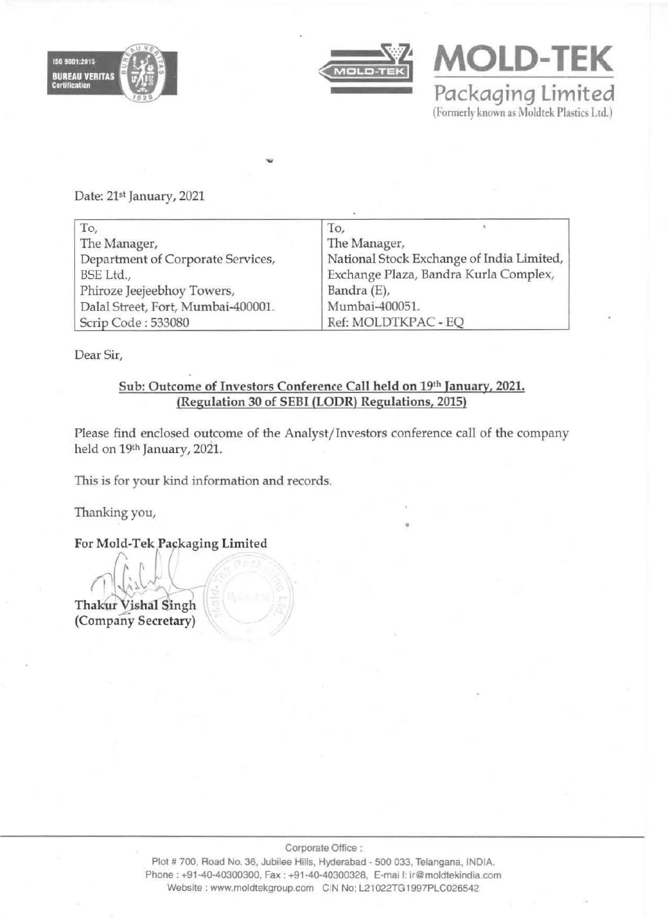



**MOLD-TEK** 

Packaging Limited (Formerly known as Moldtek Plastics Ltd.)

Date: 21st January, 2021

| To,                                | To,                                       |
|------------------------------------|-------------------------------------------|
| The Manager,                       | The Manager,                              |
| Department of Corporate Services,  | National Stock Exchange of India Limited, |
| BSE Ltd.,                          | Exchange Plaza, Bandra Kurla Complex,     |
| Phiroze Jeejeebhoy Towers,         | Bandra (E),                               |
| Dalal Street, Fort, Mumbai-400001. | Mumbai-400051.                            |
| Scrip Code: 533080                 | Ref: MOLDTKPAC - EQ                       |

Dear Sir,

# Sub: Outcome of Investors Conference Call held on 19th January, 2021. (Regulation 30 of SEBI (lODR) Regulations, 2015)

Please find enclosed outcome of the Analyst/ Investors conference call of the company held on 19th January, 2021.

This is for your kind information and records.

Thanking you, •

For Mold-Tek Packaging Limited

Thakur Vishal Singh<br>(Company Secretary)

Corporate Office :

Plot # 700, Road No. 36, Jubilee Hills, Hyderabad - 500 033, Telangana, INDIA. Phone : +91-40-40300300, Fax : +91-40-40300328, E-mai I: ir@moldtekindia.com Website : www.moldtekgroup.com CIN No: L21022TG1997PLC026542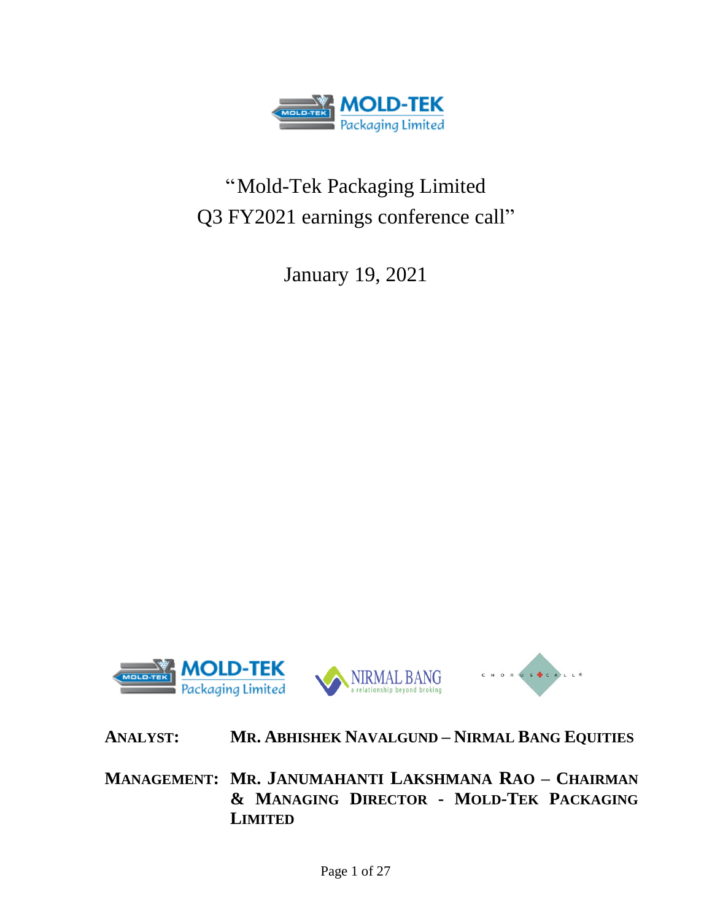

# "Mold-Tek Packaging Limited Q3 FY2021 earnings conference call"

January 19, 2021



# **ANALYST: MR. ABHISHEK NAVALGUND – NIRMAL BANG EQUITIES**

**MANAGEMENT: MR. JANUMAHANTI LAKSHMANA RAO – CHAIRMAN & MANAGING DIRECTOR - MOLD-TEK PACKAGING LIMITED**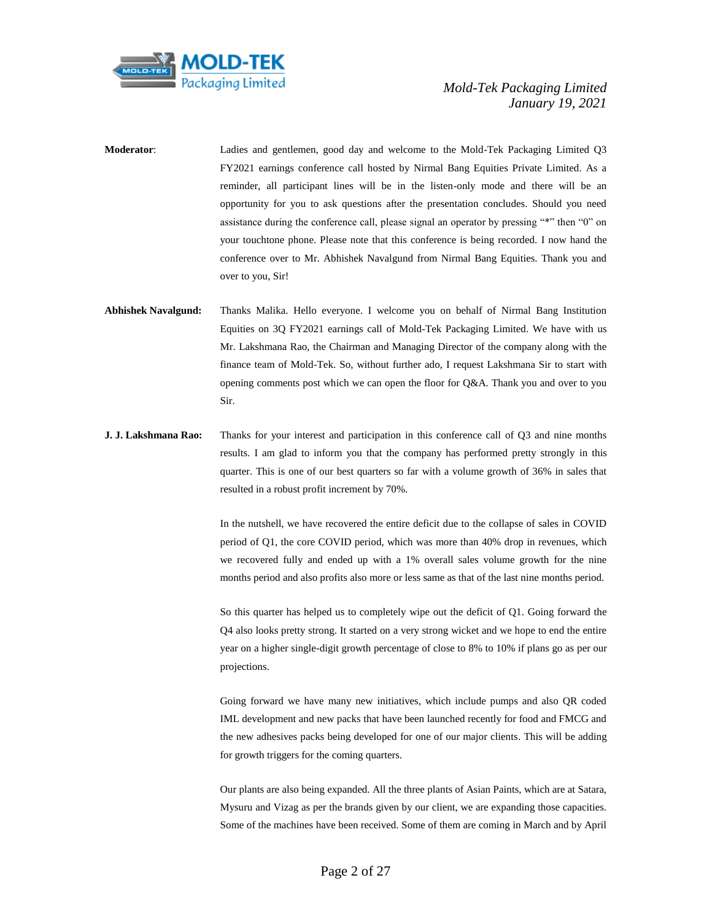

- **Moderator**: Ladies and gentlemen, good day and welcome to the Mold-Tek Packaging Limited Q3 FY2021 earnings conference call hosted by Nirmal Bang Equities Private Limited. As a reminder, all participant lines will be in the listen-only mode and there will be an opportunity for you to ask questions after the presentation concludes. Should you need assistance during the conference call, please signal an operator by pressing "\*" then "0" on your touchtone phone. Please note that this conference is being recorded. I now hand the conference over to Mr. Abhishek Navalgund from Nirmal Bang Equities. Thank you and over to you, Sir!
- **Abhishek Navalgund:** Thanks Malika. Hello everyone. I welcome you on behalf of Nirmal Bang Institution Equities on 3Q FY2021 earnings call of Mold-Tek Packaging Limited. We have with us Mr. Lakshmana Rao, the Chairman and Managing Director of the company along with the finance team of Mold-Tek. So, without further ado, I request Lakshmana Sir to start with opening comments post which we can open the floor for Q&A. Thank you and over to you Sir.
- **J. J. Lakshmana Rao:** Thanks for your interest and participation in this conference call of Q3 and nine months results. I am glad to inform you that the company has performed pretty strongly in this quarter. This is one of our best quarters so far with a volume growth of 36% in sales that resulted in a robust profit increment by 70%.

In the nutshell, we have recovered the entire deficit due to the collapse of sales in COVID period of Q1, the core COVID period, which was more than 40% drop in revenues, which we recovered fully and ended up with a 1% overall sales volume growth for the nine months period and also profits also more or less same as that of the last nine months period.

So this quarter has helped us to completely wipe out the deficit of Q1. Going forward the Q4 also looks pretty strong. It started on a very strong wicket and we hope to end the entire year on a higher single-digit growth percentage of close to 8% to 10% if plans go as per our projections.

Going forward we have many new initiatives, which include pumps and also QR coded IML development and new packs that have been launched recently for food and FMCG and the new adhesives packs being developed for one of our major clients. This will be adding for growth triggers for the coming quarters.

Our plants are also being expanded. All the three plants of Asian Paints, which are at Satara, Mysuru and Vizag as per the brands given by our client, we are expanding those capacities. Some of the machines have been received. Some of them are coming in March and by April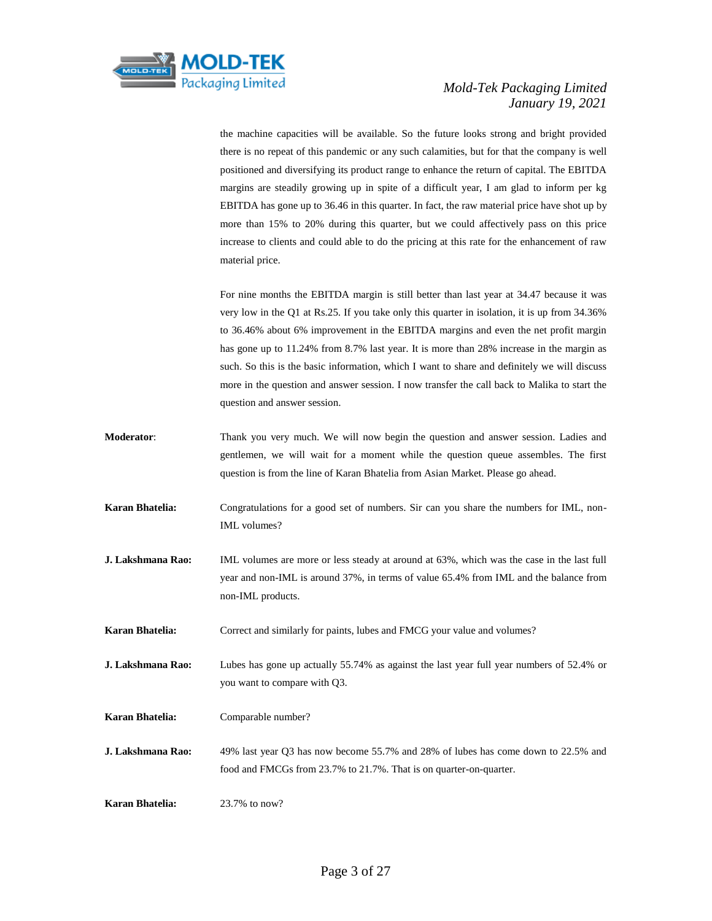

the machine capacities will be available. So the future looks strong and bright provided there is no repeat of this pandemic or any such calamities, but for that the company is well positioned and diversifying its product range to enhance the return of capital. The EBITDA margins are steadily growing up in spite of a difficult year, I am glad to inform per kg EBITDA has gone up to 36.46 in this quarter. In fact, the raw material price have shot up by more than 15% to 20% during this quarter, but we could affectively pass on this price increase to clients and could able to do the pricing at this rate for the enhancement of raw material price.

For nine months the EBITDA margin is still better than last year at 34.47 because it was very low in the Q1 at Rs.25. If you take only this quarter in isolation, it is up from 34.36% to 36.46% about 6% improvement in the EBITDA margins and even the net profit margin has gone up to 11.24% from 8.7% last year. It is more than 28% increase in the margin as such. So this is the basic information, which I want to share and definitely we will discuss more in the question and answer session. I now transfer the call back to Malika to start the question and answer session.

- **Moderator**: Thank you very much. We will now begin the question and answer session. Ladies and gentlemen, we will wait for a moment while the question queue assembles. The first question is from the line of Karan Bhatelia from Asian Market. Please go ahead.
- **Karan Bhatelia:** Congratulations for a good set of numbers. Sir can you share the numbers for IML, non-IML volumes?
- **J. Lakshmana Rao:** IML volumes are more or less steady at around at 63%, which was the case in the last full year and non-IML is around 37%, in terms of value 65.4% from IML and the balance from non-IML products.

**Karan Bhatelia:** Correct and similarly for paints, lubes and FMCG your value and volumes?

- **J. Lakshmana Rao:** Lubes has gone up actually 55.74% as against the last year full year numbers of 52.4% or you want to compare with Q3.
- **Karan Bhatelia:** Comparable number?
- **J. Lakshmana Rao:** 49% last year Q3 has now become 55.7% and 28% of lubes has come down to 22.5% and food and FMCGs from 23.7% to 21.7%. That is on quarter-on-quarter.

**Karan Bhatelia:** 23.7% to now?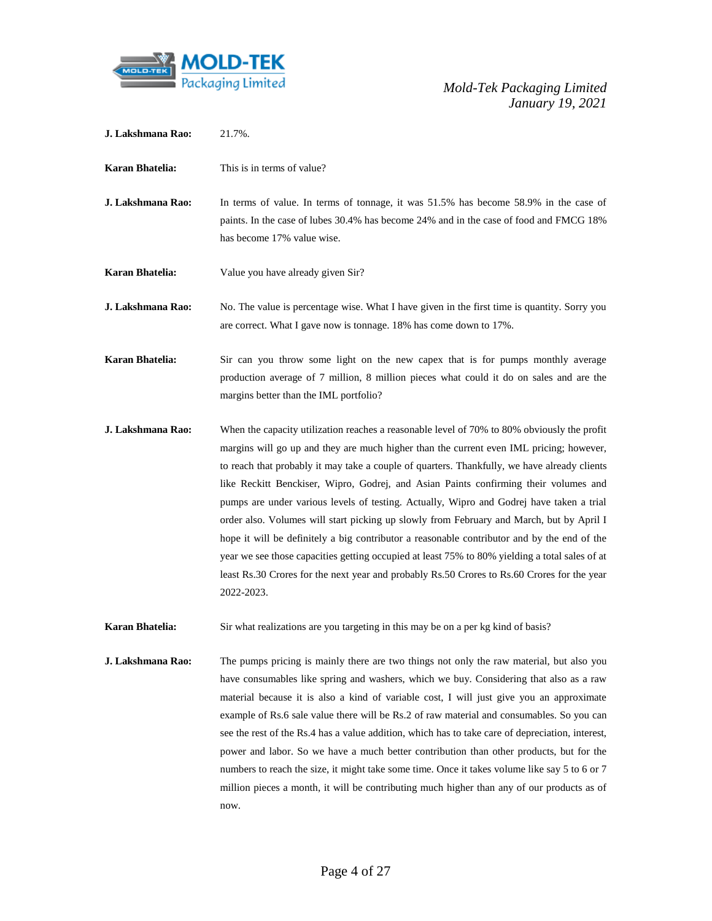

| J. Lakshmana Rao: | 21.7%. |
|-------------------|--------|
|                   |        |

- **Karan Bhatelia:** This is in terms of value?
- **J. Lakshmana Rao:** In terms of value. In terms of tonnage, it was 51.5% has become 58.9% in the case of paints. In the case of lubes 30.4% has become 24% and in the case of food and FMCG 18% has become 17% value wise.
- **Karan Bhatelia:** Value you have already given Sir?
- **J. Lakshmana Rao:** No. The value is percentage wise. What I have given in the first time is quantity. Sorry you are correct. What I gave now is tonnage. 18% has come down to 17%.
- **Karan Bhatelia:** Sir can you throw some light on the new capex that is for pumps monthly average production average of 7 million, 8 million pieces what could it do on sales and are the margins better than the IML portfolio?
- **J. Lakshmana Rao:** When the capacity utilization reaches a reasonable level of 70% to 80% obviously the profit margins will go up and they are much higher than the current even IML pricing; however, to reach that probably it may take a couple of quarters. Thankfully, we have already clients like Reckitt Benckiser, Wipro, Godrej, and Asian Paints confirming their volumes and pumps are under various levels of testing. Actually, Wipro and Godrej have taken a trial order also. Volumes will start picking up slowly from February and March, but by April I hope it will be definitely a big contributor a reasonable contributor and by the end of the year we see those capacities getting occupied at least 75% to 80% yielding a total sales of at least Rs.30 Crores for the next year and probably Rs.50 Crores to Rs.60 Crores for the year 2022-2023.
- **Karan Bhatelia:** Sir what realizations are you targeting in this may be on a per kg kind of basis?
- **J. Lakshmana Rao:** The pumps pricing is mainly there are two things not only the raw material, but also you have consumables like spring and washers, which we buy. Considering that also as a raw material because it is also a kind of variable cost, I will just give you an approximate example of Rs.6 sale value there will be Rs.2 of raw material and consumables. So you can see the rest of the Rs.4 has a value addition, which has to take care of depreciation, interest, power and labor. So we have a much better contribution than other products, but for the numbers to reach the size, it might take some time. Once it takes volume like say 5 to 6 or 7 million pieces a month, it will be contributing much higher than any of our products as of now.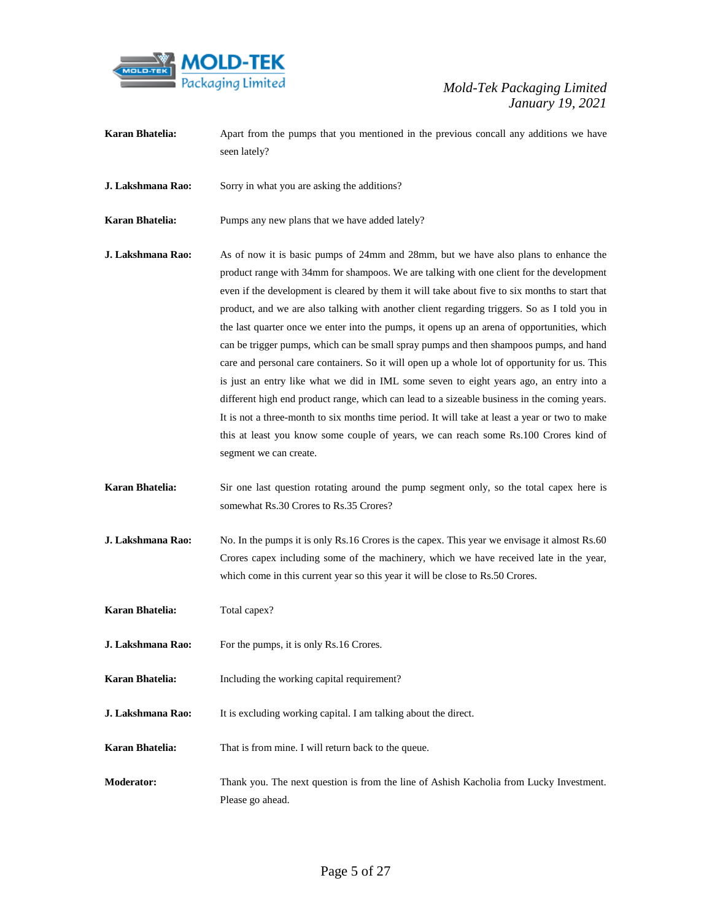

- **Karan Bhatelia:** Apart from the pumps that you mentioned in the previous concall any additions we have seen lately?
- **J. Lakshmana Rao:** Sorry in what you are asking the additions?
- **Karan Bhatelia:** Pumps any new plans that we have added lately?
- **J. Lakshmana Rao:** As of now it is basic pumps of 24mm and 28mm, but we have also plans to enhance the product range with 34mm for shampoos. We are talking with one client for the development even if the development is cleared by them it will take about five to six months to start that product, and we are also talking with another client regarding triggers. So as I told you in the last quarter once we enter into the pumps, it opens up an arena of opportunities, which can be trigger pumps, which can be small spray pumps and then shampoos pumps, and hand care and personal care containers. So it will open up a whole lot of opportunity for us. This is just an entry like what we did in IML some seven to eight years ago, an entry into a different high end product range, which can lead to a sizeable business in the coming years. It is not a three-month to six months time period. It will take at least a year or two to make this at least you know some couple of years, we can reach some Rs.100 Crores kind of segment we can create.
- **Karan Bhatelia:** Sir one last question rotating around the pump segment only, so the total capex here is somewhat Rs.30 Crores to Rs.35 Crores?
- **J. Lakshmana Rao:** No. In the pumps it is only Rs.16 Crores is the capex. This year we envisage it almost Rs.60 Crores capex including some of the machinery, which we have received late in the year, which come in this current year so this year it will be close to Rs.50 Crores.
- **Karan Bhatelia:** Total capex?
- **J. Lakshmana Rao:** For the pumps, it is only Rs.16 Crores.
- **Karan Bhatelia:** Including the working capital requirement?
- **J. Lakshmana Rao:** It is excluding working capital. I am talking about the direct.
- **Karan Bhatelia:** That is from mine. I will return back to the queue.
- **Moderator:** Thank you. The next question is from the line of Ashish Kacholia from Lucky Investment. Please go ahead.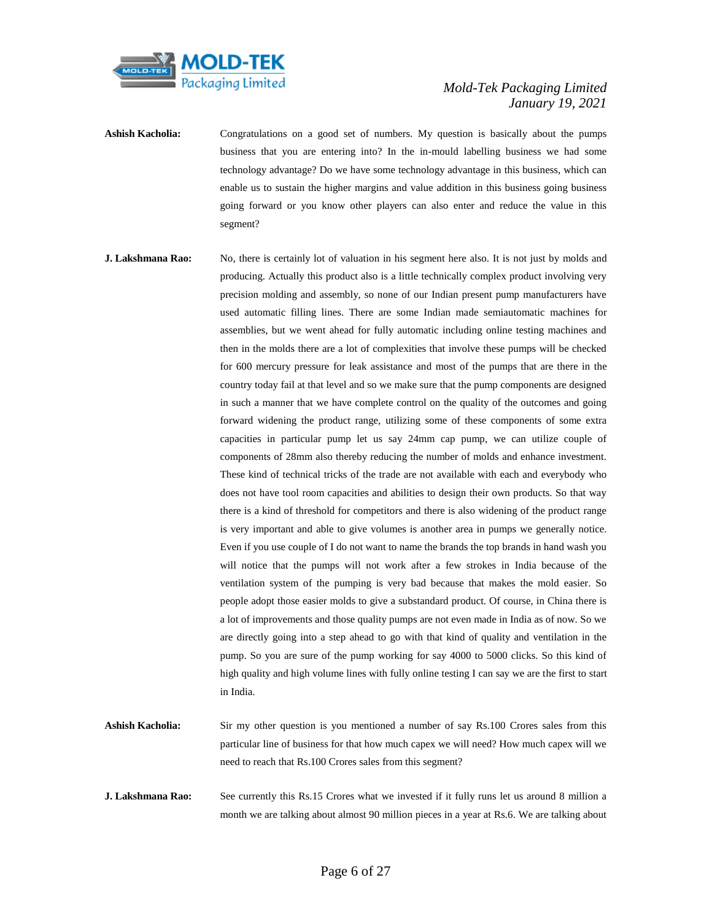

- Ashish Kacholia: Congratulations on a good set of numbers. My question is basically about the pumps business that you are entering into? In the in-mould labelling business we had some technology advantage? Do we have some technology advantage in this business, which can enable us to sustain the higher margins and value addition in this business going business going forward or you know other players can also enter and reduce the value in this segment?
- **J. Lakshmana Rao:** No, there is certainly lot of valuation in his segment here also. It is not just by molds and producing. Actually this product also is a little technically complex product involving very precision molding and assembly, so none of our Indian present pump manufacturers have used automatic filling lines. There are some Indian made semiautomatic machines for assemblies, but we went ahead for fully automatic including online testing machines and then in the molds there are a lot of complexities that involve these pumps will be checked for 600 mercury pressure for leak assistance and most of the pumps that are there in the country today fail at that level and so we make sure that the pump components are designed in such a manner that we have complete control on the quality of the outcomes and going forward widening the product range, utilizing some of these components of some extra capacities in particular pump let us say 24mm cap pump, we can utilize couple of components of 28mm also thereby reducing the number of molds and enhance investment. These kind of technical tricks of the trade are not available with each and everybody who does not have tool room capacities and abilities to design their own products. So that way there is a kind of threshold for competitors and there is also widening of the product range is very important and able to give volumes is another area in pumps we generally notice. Even if you use couple of I do not want to name the brands the top brands in hand wash you will notice that the pumps will not work after a few strokes in India because of the ventilation system of the pumping is very bad because that makes the mold easier. So people adopt those easier molds to give a substandard product. Of course, in China there is a lot of improvements and those quality pumps are not even made in India as of now. So we are directly going into a step ahead to go with that kind of quality and ventilation in the pump. So you are sure of the pump working for say 4000 to 5000 clicks. So this kind of high quality and high volume lines with fully online testing I can say we are the first to start in India.
- **Ashish Kacholia:** Sir my other question is you mentioned a number of say Rs.100 Crores sales from this particular line of business for that how much capex we will need? How much capex will we need to reach that Rs.100 Crores sales from this segment?
- **J. Lakshmana Rao:** See currently this Rs.15 Crores what we invested if it fully runs let us around 8 million a month we are talking about almost 90 million pieces in a year at Rs.6. We are talking about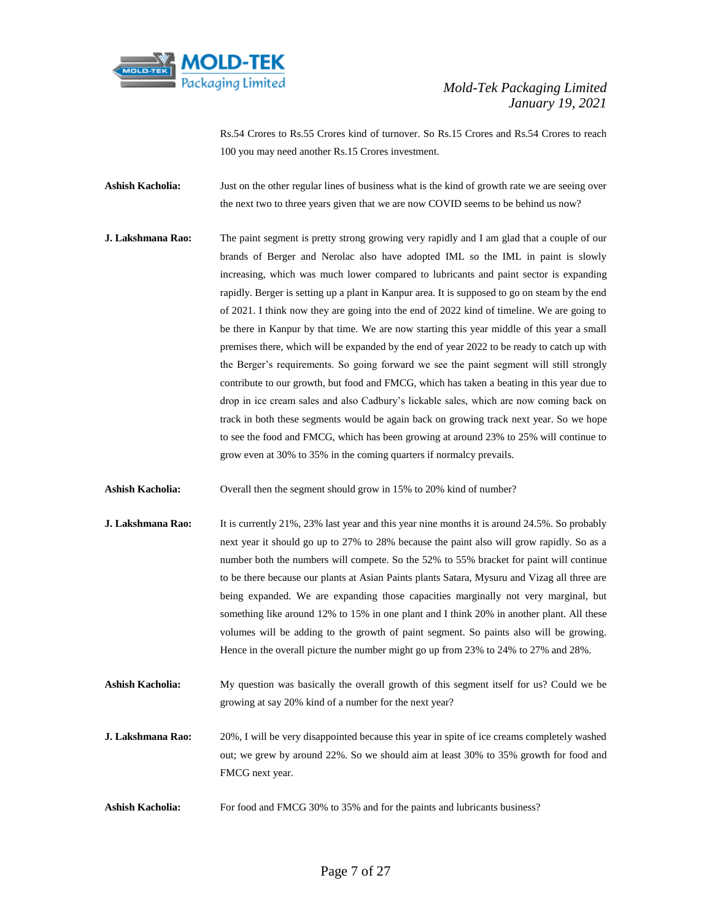

Rs.54 Crores to Rs.55 Crores kind of turnover. So Rs.15 Crores and Rs.54 Crores to reach 100 you may need another Rs.15 Crores investment.

Ashish Kacholia: Just on the other regular lines of business what is the kind of growth rate we are seeing over the next two to three years given that we are now COVID seems to be behind us now?

**J. Lakshmana Rao:** The paint segment is pretty strong growing very rapidly and I am glad that a couple of our brands of Berger and Nerolac also have adopted IML so the IML in paint is slowly increasing, which was much lower compared to lubricants and paint sector is expanding rapidly. Berger is setting up a plant in Kanpur area. It is supposed to go on steam by the end of 2021. I think now they are going into the end of 2022 kind of timeline. We are going to be there in Kanpur by that time. We are now starting this year middle of this year a small premises there, which will be expanded by the end of year 2022 to be ready to catch up with the Berger's requirements. So going forward we see the paint segment will still strongly contribute to our growth, but food and FMCG, which has taken a beating in this year due to drop in ice cream sales and also Cadbury's lickable sales, which are now coming back on track in both these segments would be again back on growing track next year. So we hope to see the food and FMCG, which has been growing at around 23% to 25% will continue to grow even at 30% to 35% in the coming quarters if normalcy prevails.

**Ashish Kacholia:** Overall then the segment should grow in 15% to 20% kind of number?

- **J. Lakshmana Rao:** It is currently 21%, 23% last year and this year nine months it is around 24.5%. So probably next year it should go up to 27% to 28% because the paint also will grow rapidly. So as a number both the numbers will compete. So the 52% to 55% bracket for paint will continue to be there because our plants at Asian Paints plants Satara, Mysuru and Vizag all three are being expanded. We are expanding those capacities marginally not very marginal, but something like around 12% to 15% in one plant and I think 20% in another plant. All these volumes will be adding to the growth of paint segment. So paints also will be growing. Hence in the overall picture the number might go up from 23% to 24% to 27% and 28%.
- **Ashish Kacholia:** My question was basically the overall growth of this segment itself for us? Could we be growing at say 20% kind of a number for the next year?
- **J. Lakshmana Rao:** 20%, I will be very disappointed because this year in spite of ice creams completely washed out; we grew by around 22%. So we should aim at least 30% to 35% growth for food and FMCG next year.
- **Ashish Kacholia:** For food and FMCG 30% to 35% and for the paints and lubricants business?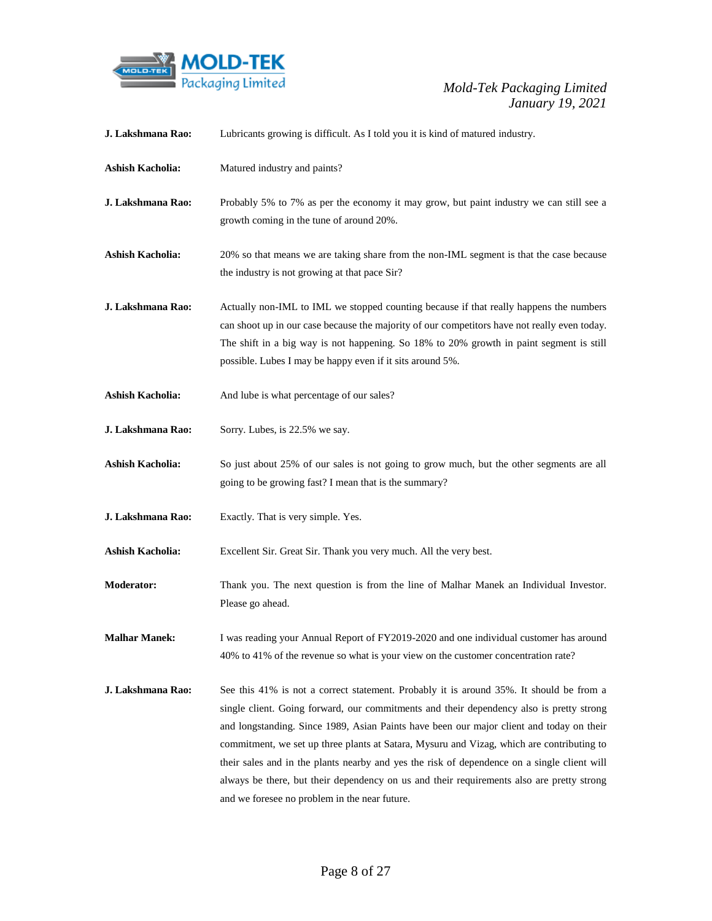

| J. Lakshmana Rao:       | Lubricants growing is difficult. As I told you it is kind of matured industry.                                                                                                                                                                                                                                                                                                                                                                                                                                                                                                                                            |
|-------------------------|---------------------------------------------------------------------------------------------------------------------------------------------------------------------------------------------------------------------------------------------------------------------------------------------------------------------------------------------------------------------------------------------------------------------------------------------------------------------------------------------------------------------------------------------------------------------------------------------------------------------------|
| <b>Ashish Kacholia:</b> | Matured industry and paints?                                                                                                                                                                                                                                                                                                                                                                                                                                                                                                                                                                                              |
| J. Lakshmana Rao:       | Probably 5% to 7% as per the economy it may grow, but paint industry we can still see a<br>growth coming in the tune of around 20%.                                                                                                                                                                                                                                                                                                                                                                                                                                                                                       |
| <b>Ashish Kacholia:</b> | 20% so that means we are taking share from the non-IML segment is that the case because<br>the industry is not growing at that pace Sir?                                                                                                                                                                                                                                                                                                                                                                                                                                                                                  |
| J. Lakshmana Rao:       | Actually non-IML to IML we stopped counting because if that really happens the numbers<br>can shoot up in our case because the majority of our competitors have not really even today.<br>The shift in a big way is not happening. So 18% to 20% growth in paint segment is still<br>possible. Lubes I may be happy even if it sits around 5%.                                                                                                                                                                                                                                                                            |
| <b>Ashish Kacholia:</b> | And lube is what percentage of our sales?                                                                                                                                                                                                                                                                                                                                                                                                                                                                                                                                                                                 |
| J. Lakshmana Rao:       | Sorry. Lubes, is 22.5% we say.                                                                                                                                                                                                                                                                                                                                                                                                                                                                                                                                                                                            |
| <b>Ashish Kacholia:</b> | So just about 25% of our sales is not going to grow much, but the other segments are all<br>going to be growing fast? I mean that is the summary?                                                                                                                                                                                                                                                                                                                                                                                                                                                                         |
| J. Lakshmana Rao:       | Exactly. That is very simple. Yes.                                                                                                                                                                                                                                                                                                                                                                                                                                                                                                                                                                                        |
| <b>Ashish Kacholia:</b> | Excellent Sir. Great Sir. Thank you very much. All the very best.                                                                                                                                                                                                                                                                                                                                                                                                                                                                                                                                                         |
| <b>Moderator:</b>       | Thank you. The next question is from the line of Malhar Manek an Individual Investor.<br>Please go ahead.                                                                                                                                                                                                                                                                                                                                                                                                                                                                                                                 |
| <b>Malhar Manek:</b>    | I was reading your Annual Report of FY2019-2020 and one individual customer has around<br>40% to 41% of the revenue so what is your view on the customer concentration rate?                                                                                                                                                                                                                                                                                                                                                                                                                                              |
| J. Lakshmana Rao:       | See this 41% is not a correct statement. Probably it is around 35%. It should be from a<br>single client. Going forward, our commitments and their dependency also is pretty strong<br>and longstanding. Since 1989, Asian Paints have been our major client and today on their<br>commitment, we set up three plants at Satara, Mysuru and Vizag, which are contributing to<br>their sales and in the plants nearby and yes the risk of dependence on a single client will<br>always be there, but their dependency on us and their requirements also are pretty strong<br>and we foresee no problem in the near future. |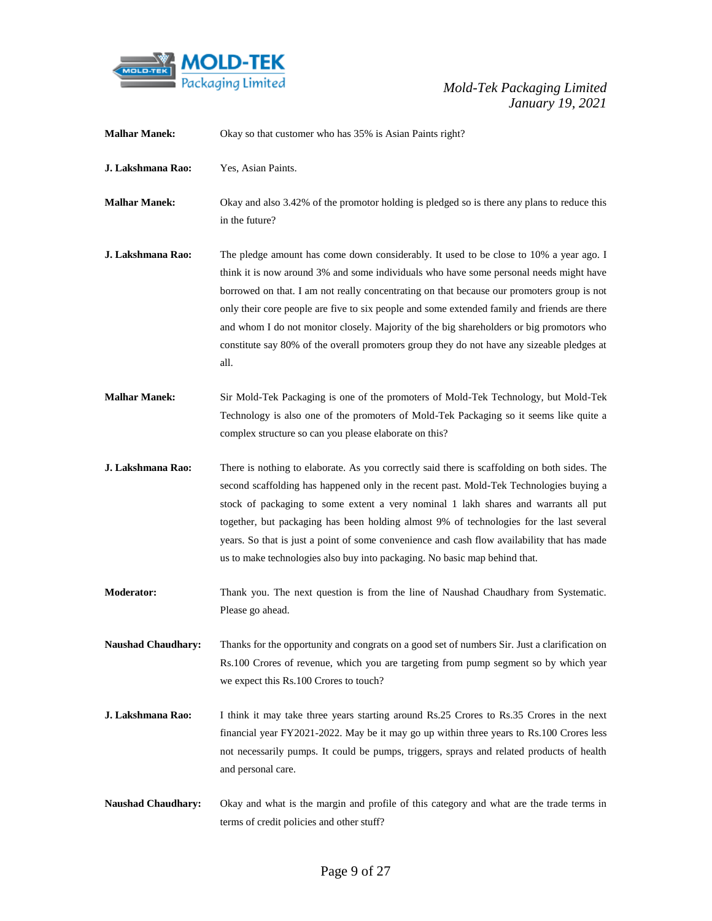

| <b>Malhar Manek:</b>      | Okay so that customer who has 35% is Asian Paints right?                                                                                                                                                                                                                                                                                                                                                                                                                                                                                                                         |
|---------------------------|----------------------------------------------------------------------------------------------------------------------------------------------------------------------------------------------------------------------------------------------------------------------------------------------------------------------------------------------------------------------------------------------------------------------------------------------------------------------------------------------------------------------------------------------------------------------------------|
| J. Lakshmana Rao:         | Yes, Asian Paints.                                                                                                                                                                                                                                                                                                                                                                                                                                                                                                                                                               |
| <b>Malhar Manek:</b>      | Okay and also 3.42% of the promotor holding is pledged so is there any plans to reduce this<br>in the future?                                                                                                                                                                                                                                                                                                                                                                                                                                                                    |
| J. Lakshmana Rao:         | The pledge amount has come down considerably. It used to be close to 10% a year ago. I<br>think it is now around 3% and some individuals who have some personal needs might have<br>borrowed on that. I am not really concentrating on that because our promoters group is not<br>only their core people are five to six people and some extended family and friends are there<br>and whom I do not monitor closely. Majority of the big shareholders or big promotors who<br>constitute say 80% of the overall promoters group they do not have any sizeable pledges at<br>all. |
| <b>Malhar Manek:</b>      | Sir Mold-Tek Packaging is one of the promoters of Mold-Tek Technology, but Mold-Tek<br>Technology is also one of the promoters of Mold-Tek Packaging so it seems like quite a<br>complex structure so can you please elaborate on this?                                                                                                                                                                                                                                                                                                                                          |
| J. Lakshmana Rao:         | There is nothing to elaborate. As you correctly said there is scaffolding on both sides. The<br>second scaffolding has happened only in the recent past. Mold-Tek Technologies buying a<br>stock of packaging to some extent a very nominal 1 lakh shares and warrants all put<br>together, but packaging has been holding almost 9% of technologies for the last several<br>years. So that is just a point of some convenience and cash flow availability that has made<br>us to make technologies also buy into packaging. No basic map behind that.                           |
| <b>Moderator:</b>         | Thank you. The next question is from the line of Naushad Chaudhary from Systematic.<br>Please go ahead.                                                                                                                                                                                                                                                                                                                                                                                                                                                                          |
| <b>Naushad Chaudhary:</b> | Thanks for the opportunity and congrats on a good set of numbers Sir. Just a clarification on<br>Rs.100 Crores of revenue, which you are targeting from pump segment so by which year<br>we expect this Rs.100 Crores to touch?                                                                                                                                                                                                                                                                                                                                                  |
| J. Lakshmana Rao:         | I think it may take three years starting around Rs.25 Crores to Rs.35 Crores in the next<br>financial year FY2021-2022. May be it may go up within three years to Rs.100 Crores less<br>not necessarily pumps. It could be pumps, triggers, sprays and related products of health<br>and personal care.                                                                                                                                                                                                                                                                          |
| <b>Naushad Chaudhary:</b> | Okay and what is the margin and profile of this category and what are the trade terms in<br>terms of credit policies and other stuff?                                                                                                                                                                                                                                                                                                                                                                                                                                            |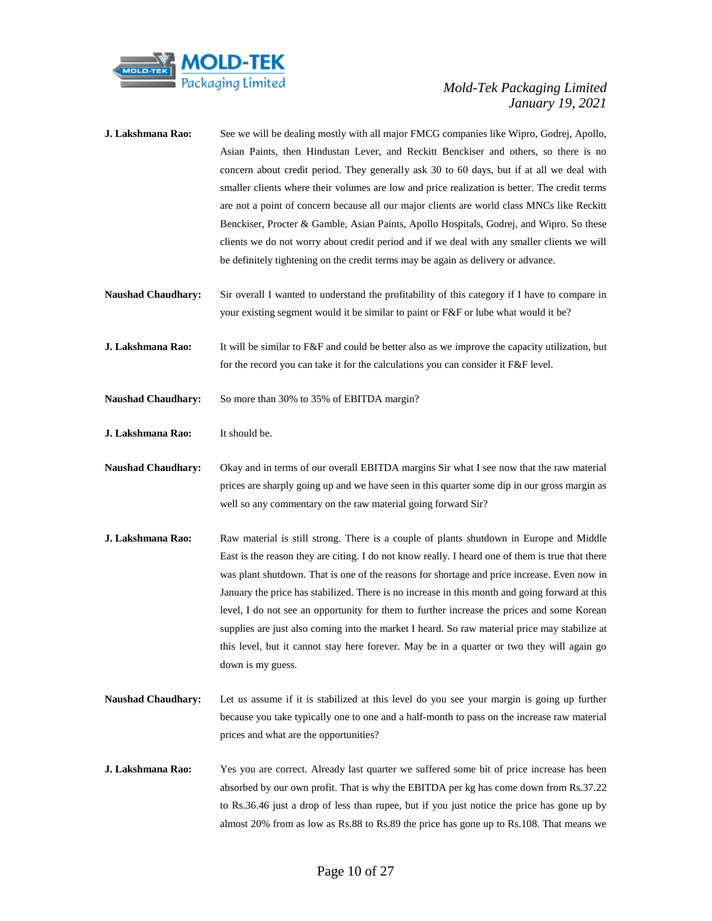

| J. Lakshmana Rao:         | See we will be dealing mostly with all major FMCG companies like Wipro, Godrej, Apollo,<br>Asian Paints, then Hindustan Lever, and Reckitt Benckiser and others, so there is no<br>concern about credit period. They generally ask 30 to 60 days, but if at all we deal with<br>smaller clients where their volumes are low and price realization is better. The credit terms<br>are not a point of concern because all our major clients are world class MNCs like Reckitt<br>Benckiser, Procter & Gamble, Asian Paints, Apollo Hospitals, Godrej, and Wipro. So these<br>clients we do not worry about credit period and if we deal with any smaller clients we will<br>be definitely tightening on the credit terms may be again as delivery or advance. |
|---------------------------|-------------------------------------------------------------------------------------------------------------------------------------------------------------------------------------------------------------------------------------------------------------------------------------------------------------------------------------------------------------------------------------------------------------------------------------------------------------------------------------------------------------------------------------------------------------------------------------------------------------------------------------------------------------------------------------------------------------------------------------------------------------|
| <b>Naushad Chaudhary:</b> | Sir overall I wanted to understand the profitability of this category if I have to compare in<br>your existing segment would it be similar to paint or F&F or lube what would it be?                                                                                                                                                                                                                                                                                                                                                                                                                                                                                                                                                                        |
| J. Lakshmana Rao:         | It will be similar to F&F and could be better also as we improve the capacity utilization, but<br>for the record you can take it for the calculations you can consider it F&F level.                                                                                                                                                                                                                                                                                                                                                                                                                                                                                                                                                                        |
| <b>Naushad Chaudhary:</b> | So more than 30% to 35% of EBITDA margin?                                                                                                                                                                                                                                                                                                                                                                                                                                                                                                                                                                                                                                                                                                                   |
| J. Lakshmana Rao:         | It should be.                                                                                                                                                                                                                                                                                                                                                                                                                                                                                                                                                                                                                                                                                                                                               |
| <b>Naushad Chaudhary:</b> | Okay and in terms of our overall EBITDA margins Sir what I see now that the raw material<br>prices are sharply going up and we have seen in this quarter some dip in our gross margin as<br>well so any commentary on the raw material going forward Sir?                                                                                                                                                                                                                                                                                                                                                                                                                                                                                                   |
| J. Lakshmana Rao:         | Raw material is still strong. There is a couple of plants shutdown in Europe and Middle<br>East is the reason they are citing. I do not know really. I heard one of them is true that there<br>was plant shutdown. That is one of the reasons for shortage and price increase. Even now in<br>January the price has stabilized. There is no increase in this month and going forward at this<br>level, I do not see an opportunity for them to further increase the prices and some Korean<br>supplies are just also coming into the market I heard. So raw material price may stabilize at<br>this level, but it cannot stay here forever. May be in a quarter or two they will again go<br>down is my guess.                                              |
| <b>Naushad Chaudhary:</b> | Let us assume if it is stabilized at this level do you see your margin is going up further<br>because you take typically one to one and a half-month to pass on the increase raw material<br>prices and what are the opportunities?                                                                                                                                                                                                                                                                                                                                                                                                                                                                                                                         |
| J. Lakshmana Rao:         | Yes you are correct. Already last quarter we suffered some bit of price increase has been<br>absorbed by our own profit. That is why the EBITDA per kg has come down from Rs.37.22<br>to Rs.36.46 just a drop of less than rupee, but if you just notice the price has gone up by<br>almost 20% from as low as Rs.88 to Rs.89 the price has gone up to Rs.108. That means we                                                                                                                                                                                                                                                                                                                                                                                |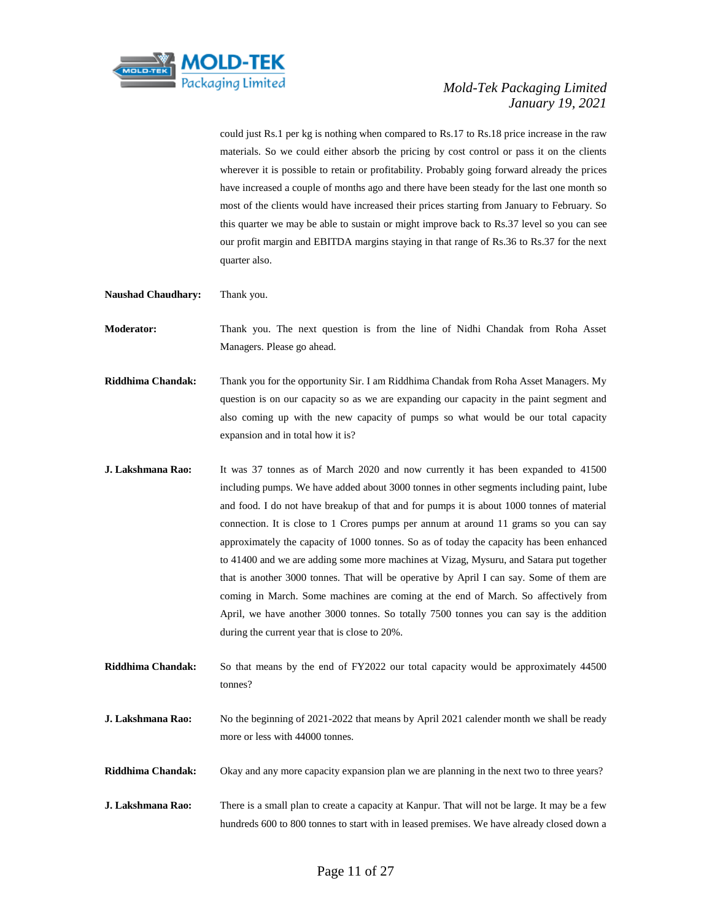

could just Rs.1 per kg is nothing when compared to Rs.17 to Rs.18 price increase in the raw materials. So we could either absorb the pricing by cost control or pass it on the clients wherever it is possible to retain or profitability. Probably going forward already the prices have increased a couple of months ago and there have been steady for the last one month so most of the clients would have increased their prices starting from January to February. So this quarter we may be able to sustain or might improve back to Rs.37 level so you can see our profit margin and EBITDA margins staying in that range of Rs.36 to Rs.37 for the next quarter also.

**Naushad Chaudhary:** Thank you.

**Moderator:** Thank you. The next question is from the line of Nidhi Chandak from Roha Asset Managers. Please go ahead.

- **Riddhima Chandak:** Thank you for the opportunity Sir. I am Riddhima Chandak from Roha Asset Managers. My question is on our capacity so as we are expanding our capacity in the paint segment and also coming up with the new capacity of pumps so what would be our total capacity expansion and in total how it is?
- **J. Lakshmana Rao:** It was 37 tonnes as of March 2020 and now currently it has been expanded to 41500 including pumps. We have added about 3000 tonnes in other segments including paint, lube and food. I do not have breakup of that and for pumps it is about 1000 tonnes of material connection. It is close to 1 Crores pumps per annum at around 11 grams so you can say approximately the capacity of 1000 tonnes. So as of today the capacity has been enhanced to 41400 and we are adding some more machines at Vizag, Mysuru, and Satara put together that is another 3000 tonnes. That will be operative by April I can say. Some of them are coming in March. Some machines are coming at the end of March. So affectively from April, we have another 3000 tonnes. So totally 7500 tonnes you can say is the addition during the current year that is close to 20%.
- **Riddhima Chandak:** So that means by the end of FY2022 our total capacity would be approximately 44500 tonnes?
- **J. Lakshmana Rao:** No the beginning of 2021-2022 that means by April 2021 calender month we shall be ready more or less with 44000 tonnes.
- **Riddhima Chandak:** Okay and any more capacity expansion plan we are planning in the next two to three years?
- **J. Lakshmana Rao:** There is a small plan to create a capacity at Kanpur. That will not be large. It may be a few hundreds 600 to 800 tonnes to start with in leased premises. We have already closed down a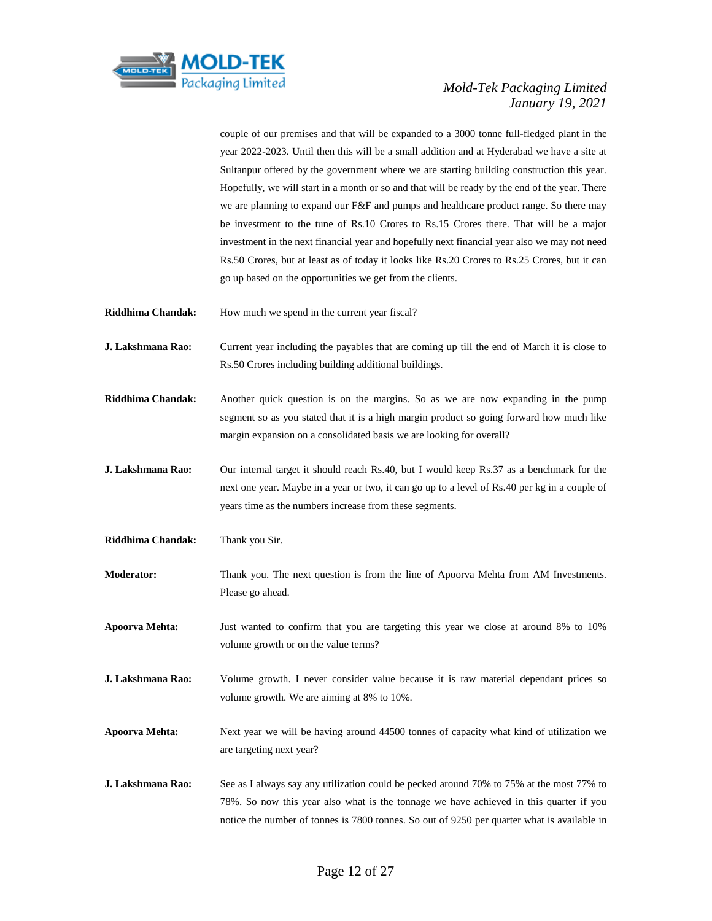

couple of our premises and that will be expanded to a 3000 tonne full-fledged plant in the year 2022-2023. Until then this will be a small addition and at Hyderabad we have a site at Sultanpur offered by the government where we are starting building construction this year. Hopefully, we will start in a month or so and that will be ready by the end of the year. There we are planning to expand our F&F and pumps and healthcare product range. So there may be investment to the tune of Rs.10 Crores to Rs.15 Crores there. That will be a major investment in the next financial year and hopefully next financial year also we may not need Rs.50 Crores, but at least as of today it looks like Rs.20 Crores to Rs.25 Crores, but it can go up based on the opportunities we get from the clients.

**Riddhima Chandak:** How much we spend in the current year fiscal?

- **J. Lakshmana Rao:** Current year including the payables that are coming up till the end of March it is close to Rs.50 Crores including building additional buildings.
- **Riddhima Chandak:** Another quick question is on the margins. So as we are now expanding in the pump segment so as you stated that it is a high margin product so going forward how much like margin expansion on a consolidated basis we are looking for overall?
- **J. Lakshmana Rao:** Our internal target it should reach Rs.40, but I would keep Rs.37 as a benchmark for the next one year. Maybe in a year or two, it can go up to a level of Rs.40 per kg in a couple of years time as the numbers increase from these segments.
- **Riddhima Chandak:** Thank you Sir.
- **Moderator:** Thank you. The next question is from the line of Apoorva Mehta from AM Investments. Please go ahead.
- **Apoorva Mehta:** Just wanted to confirm that you are targeting this year we close at around 8% to 10% volume growth or on the value terms?
- **J. Lakshmana Rao:** Volume growth. I never consider value because it is raw material dependant prices so volume growth. We are aiming at 8% to 10%.
- **Apoorva Mehta:** Next year we will be having around 44500 tonnes of capacity what kind of utilization we are targeting next year?
- **J. Lakshmana Rao:** See as I always say any utilization could be pecked around 70% to 75% at the most 77% to 78%. So now this year also what is the tonnage we have achieved in this quarter if you notice the number of tonnes is 7800 tonnes. So out of 9250 per quarter what is available in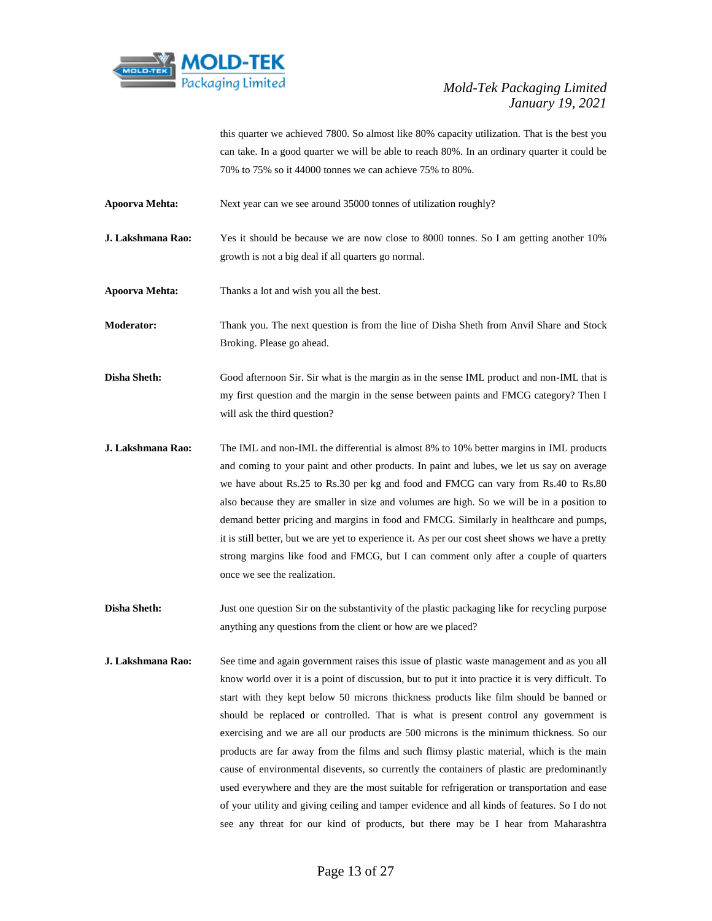

this quarter we achieved 7800. So almost like 80% capacity utilization. That is the best you can take. In a good quarter we will be able to reach 80%. In an ordinary quarter it could be 70% to 75% so it 44000 tonnes we can achieve 75% to 80%.

**Apoorva Mehta:** Next year can we see around 35000 tonnes of utilization roughly?

**J. Lakshmana Rao:** Yes it should be because we are now close to 8000 tonnes. So I am getting another 10% growth is not a big deal if all quarters go normal.

**Apoorva Mehta:** Thanks a lot and wish you all the best.

**Moderator:** Thank you. The next question is from the line of Disha Sheth from Anvil Share and Stock Broking. Please go ahead.

**Disha Sheth:** Good afternoon Sir. Sir what is the margin as in the sense IML product and non-IML that is my first question and the margin in the sense between paints and FMCG category? Then I will ask the third question?

- **J. Lakshmana Rao:** The IML and non-IML the differential is almost 8% to 10% better margins in IML products and coming to your paint and other products. In paint and lubes, we let us say on average we have about Rs.25 to Rs.30 per kg and food and FMCG can vary from Rs.40 to Rs.80 also because they are smaller in size and volumes are high. So we will be in a position to demand better pricing and margins in food and FMCG. Similarly in healthcare and pumps, it is still better, but we are yet to experience it. As per our cost sheet shows we have a pretty strong margins like food and FMCG, but I can comment only after a couple of quarters once we see the realization.
- **Disha Sheth:** Just one question Sir on the substantivity of the plastic packaging like for recycling purpose anything any questions from the client or how are we placed?
- **J. Lakshmana Rao:** See time and again government raises this issue of plastic waste management and as you all know world over it is a point of discussion, but to put it into practice it is very difficult. To start with they kept below 50 microns thickness products like film should be banned or should be replaced or controlled. That is what is present control any government is exercising and we are all our products are 500 microns is the minimum thickness. So our products are far away from the films and such flimsy plastic material, which is the main cause of environmental disevents, so currently the containers of plastic are predominantly used everywhere and they are the most suitable for refrigeration or transportation and ease of your utility and giving ceiling and tamper evidence and all kinds of features. So I do not see any threat for our kind of products, but there may be I hear from Maharashtra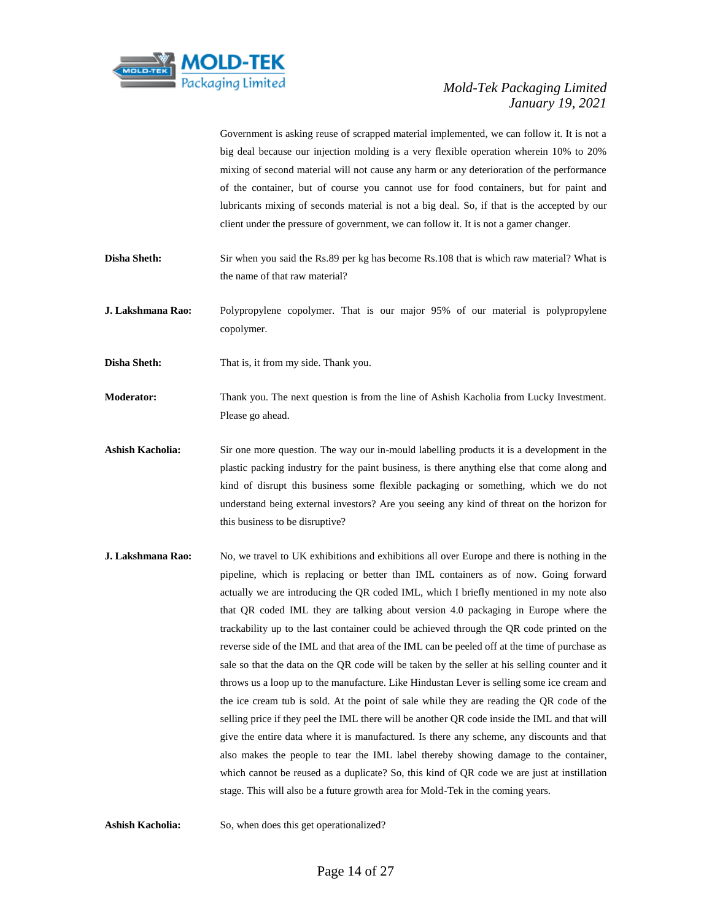

Government is asking reuse of scrapped material implemented, we can follow it. It is not a big deal because our injection molding is a very flexible operation wherein 10% to 20% mixing of second material will not cause any harm or any deterioration of the performance of the container, but of course you cannot use for food containers, but for paint and lubricants mixing of seconds material is not a big deal. So, if that is the accepted by our client under the pressure of government, we can follow it. It is not a gamer changer.

- **Disha Sheth:** Sir when you said the Rs.89 per kg has become Rs.108 that is which raw material? What is the name of that raw material?
- **J. Lakshmana Rao:** Polypropylene copolymer. That is our major 95% of our material is polypropylene copolymer.

**Disha Sheth:** That is, it from my side. Thank you.

- **Moderator:** Thank you. The next question is from the line of Ashish Kacholia from Lucky Investment. Please go ahead.
- **Ashish Kacholia:** Sir one more question. The way our in-mould labelling products it is a development in the plastic packing industry for the paint business, is there anything else that come along and kind of disrupt this business some flexible packaging or something, which we do not understand being external investors? Are you seeing any kind of threat on the horizon for this business to be disruptive?
- **J. Lakshmana Rao:** No, we travel to UK exhibitions and exhibitions all over Europe and there is nothing in the pipeline, which is replacing or better than IML containers as of now. Going forward actually we are introducing the QR coded IML, which I briefly mentioned in my note also that QR coded IML they are talking about version 4.0 packaging in Europe where the trackability up to the last container could be achieved through the QR code printed on the reverse side of the IML and that area of the IML can be peeled off at the time of purchase as sale so that the data on the QR code will be taken by the seller at his selling counter and it throws us a loop up to the manufacture. Like Hindustan Lever is selling some ice cream and the ice cream tub is sold. At the point of sale while they are reading the QR code of the selling price if they peel the IML there will be another QR code inside the IML and that will give the entire data where it is manufactured. Is there any scheme, any discounts and that also makes the people to tear the IML label thereby showing damage to the container, which cannot be reused as a duplicate? So, this kind of QR code we are just at instillation stage. This will also be a future growth area for Mold-Tek in the coming years.

**Ashish Kacholia:** So, when does this get operationalized?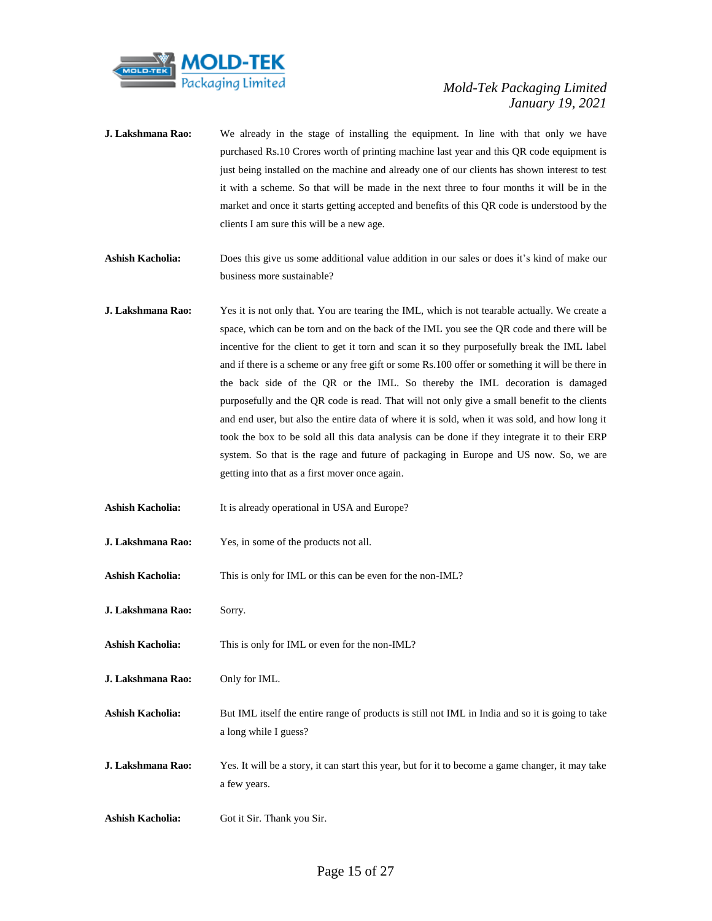

- **J. Lakshmana Rao:** We already in the stage of installing the equipment. In line with that only we have purchased Rs.10 Crores worth of printing machine last year and this QR code equipment is just being installed on the machine and already one of our clients has shown interest to test it with a scheme. So that will be made in the next three to four months it will be in the market and once it starts getting accepted and benefits of this QR code is understood by the clients I am sure this will be a new age.
- **Ashish Kacholia:** Does this give us some additional value addition in our sales or does it's kind of make our business more sustainable?
- **J. Lakshmana Rao:** Yes it is not only that. You are tearing the IML, which is not tearable actually. We create a space, which can be torn and on the back of the IML you see the QR code and there will be incentive for the client to get it torn and scan it so they purposefully break the IML label and if there is a scheme or any free gift or some Rs.100 offer or something it will be there in the back side of the QR or the IML. So thereby the IML decoration is damaged purposefully and the QR code is read. That will not only give a small benefit to the clients and end user, but also the entire data of where it is sold, when it was sold, and how long it took the box to be sold all this data analysis can be done if they integrate it to their ERP system. So that is the rage and future of packaging in Europe and US now. So, we are getting into that as a first mover once again.
- **Ashish Kacholia:** It is already operational in USA and Europe?
- **J. Lakshmana Rao:** Yes, in some of the products not all.
- **Ashish Kacholia:** This is only for IML or this can be even for the non-IML?
- **J. Lakshmana Rao:** Sorry.
- **Ashish Kacholia:** This is only for IML or even for the non-IML?
- **J. Lakshmana Rao:** Only for IML.
- Ashish Kacholia: But IML itself the entire range of products is still not IML in India and so it is going to take a long while I guess?
- **J. Lakshmana Rao:** Yes. It will be a story, it can start this year, but for it to become a game changer, it may take a few years.
- **Ashish Kacholia:** Got it Sir. Thank you Sir.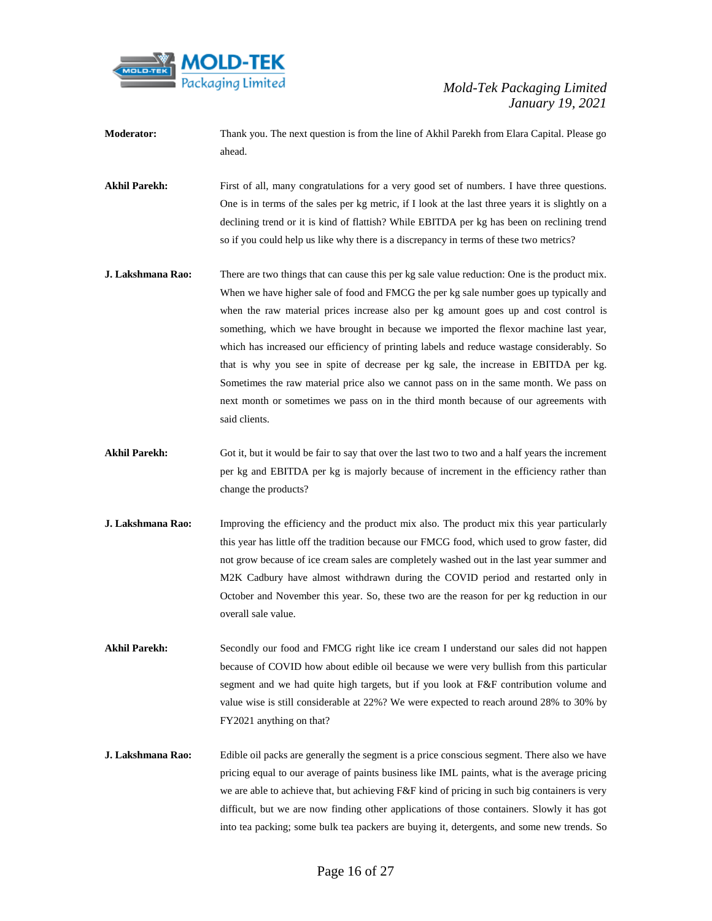

- **Moderator:** Thank you. The next question is from the line of Akhil Parekh from Elara Capital. Please go ahead.
- Akhil Parekh: First of all, many congratulations for a very good set of numbers. I have three questions. One is in terms of the sales per kg metric, if I look at the last three years it is slightly on a declining trend or it is kind of flattish? While EBITDA per kg has been on reclining trend so if you could help us like why there is a discrepancy in terms of these two metrics?
- **J. Lakshmana Rao:** There are two things that can cause this per kg sale value reduction: One is the product mix. When we have higher sale of food and FMCG the per kg sale number goes up typically and when the raw material prices increase also per kg amount goes up and cost control is something, which we have brought in because we imported the flexor machine last year, which has increased our efficiency of printing labels and reduce wastage considerably. So that is why you see in spite of decrease per kg sale, the increase in EBITDA per kg. Sometimes the raw material price also we cannot pass on in the same month. We pass on next month or sometimes we pass on in the third month because of our agreements with said clients.
- Akhil Parekh: Got it, but it would be fair to say that over the last two to two and a half years the increment per kg and EBITDA per kg is majorly because of increment in the efficiency rather than change the products?
- **J. Lakshmana Rao:** Improving the efficiency and the product mix also. The product mix this year particularly this year has little off the tradition because our FMCG food, which used to grow faster, did not grow because of ice cream sales are completely washed out in the last year summer and M2K Cadbury have almost withdrawn during the COVID period and restarted only in October and November this year. So, these two are the reason for per kg reduction in our overall sale value.
- Akhil Parekh: Secondly our food and FMCG right like ice cream I understand our sales did not happen because of COVID how about edible oil because we were very bullish from this particular segment and we had quite high targets, but if you look at F&F contribution volume and value wise is still considerable at 22%? We were expected to reach around 28% to 30% by FY2021 anything on that?
- **J. Lakshmana Rao:** Edible oil packs are generally the segment is a price conscious segment. There also we have pricing equal to our average of paints business like IML paints, what is the average pricing we are able to achieve that, but achieving F&F kind of pricing in such big containers is very difficult, but we are now finding other applications of those containers. Slowly it has got into tea packing; some bulk tea packers are buying it, detergents, and some new trends. So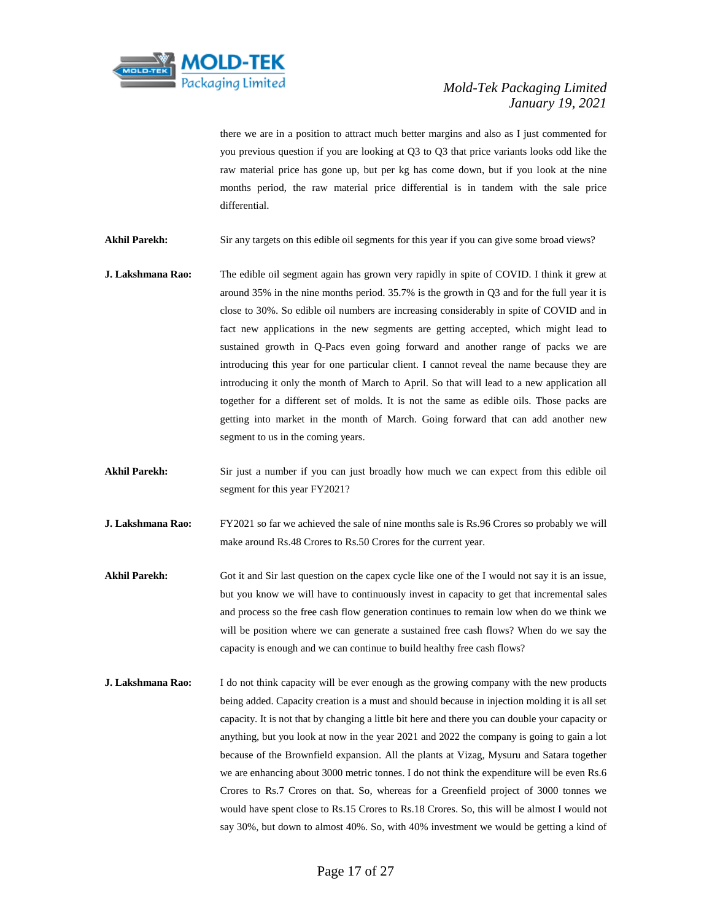

there we are in a position to attract much better margins and also as I just commented for you previous question if you are looking at Q3 to Q3 that price variants looks odd like the raw material price has gone up, but per kg has come down, but if you look at the nine months period, the raw material price differential is in tandem with the sale price differential.

Akhil Parekh: Sir any targets on this edible oil segments for this year if you can give some broad views?

- **J. Lakshmana Rao:** The edible oil segment again has grown very rapidly in spite of COVID. I think it grew at around 35% in the nine months period. 35.7% is the growth in Q3 and for the full year it is close to 30%. So edible oil numbers are increasing considerably in spite of COVID and in fact new applications in the new segments are getting accepted, which might lead to sustained growth in Q-Pacs even going forward and another range of packs we are introducing this year for one particular client. I cannot reveal the name because they are introducing it only the month of March to April. So that will lead to a new application all together for a different set of molds. It is not the same as edible oils. Those packs are getting into market in the month of March. Going forward that can add another new segment to us in the coming years.
- Akhil Parekh: Sir just a number if you can just broadly how much we can expect from this edible oil segment for this year FY2021?
- **J. Lakshmana Rao:** FY2021 so far we achieved the sale of nine months sale is Rs.96 Crores so probably we will make around Rs.48 Crores to Rs.50 Crores for the current year.
- Akhil Parekh: Got it and Sir last question on the capex cycle like one of the I would not say it is an issue, but you know we will have to continuously invest in capacity to get that incremental sales and process so the free cash flow generation continues to remain low when do we think we will be position where we can generate a sustained free cash flows? When do we say the capacity is enough and we can continue to build healthy free cash flows?
- **J. Lakshmana Rao:** I do not think capacity will be ever enough as the growing company with the new products being added. Capacity creation is a must and should because in injection molding it is all set capacity. It is not that by changing a little bit here and there you can double your capacity or anything, but you look at now in the year 2021 and 2022 the company is going to gain a lot because of the Brownfield expansion. All the plants at Vizag, Mysuru and Satara together we are enhancing about 3000 metric tonnes. I do not think the expenditure will be even Rs.6 Crores to Rs.7 Crores on that. So, whereas for a Greenfield project of 3000 tonnes we would have spent close to Rs.15 Crores to Rs.18 Crores. So, this will be almost I would not say 30%, but down to almost 40%. So, with 40% investment we would be getting a kind of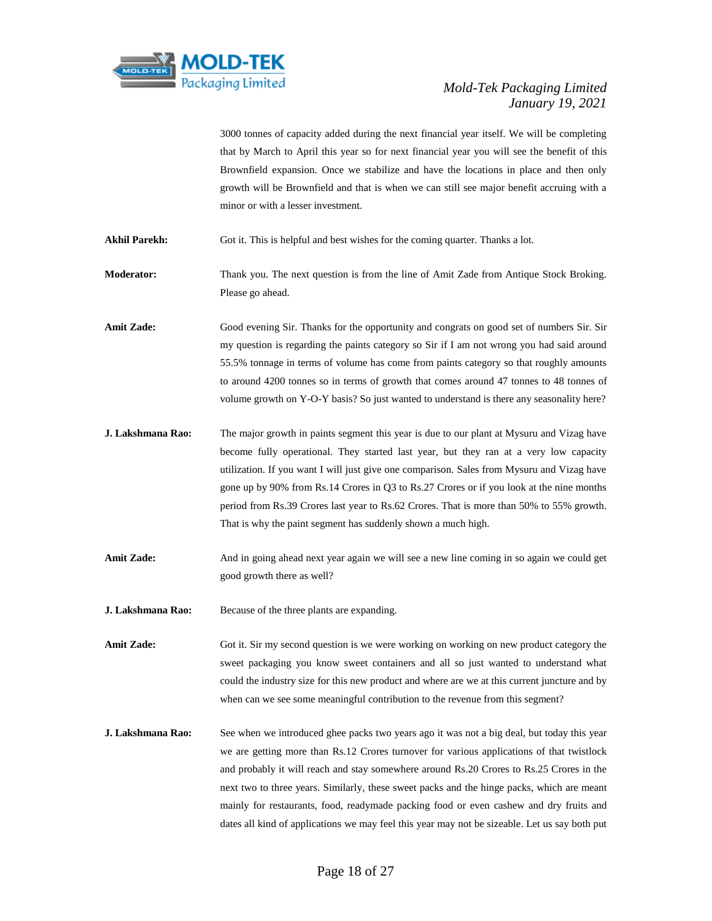

3000 tonnes of capacity added during the next financial year itself. We will be completing that by March to April this year so for next financial year you will see the benefit of this Brownfield expansion. Once we stabilize and have the locations in place and then only growth will be Brownfield and that is when we can still see major benefit accruing with a minor or with a lesser investment.

**Akhil Parekh:** Got it. This is helpful and best wishes for the coming quarter. Thanks a lot.

**Moderator:** Thank you. The next question is from the line of Amit Zade from Antique Stock Broking. Please go ahead.

**Amit Zade:** Good evening Sir. Thanks for the opportunity and congrats on good set of numbers Sir. Sir my question is regarding the paints category so Sir if I am not wrong you had said around 55.5% tonnage in terms of volume has come from paints category so that roughly amounts to around 4200 tonnes so in terms of growth that comes around 47 tonnes to 48 tonnes of volume growth on Y-O-Y basis? So just wanted to understand is there any seasonality here?

- **J. Lakshmana Rao:** The major growth in paints segment this year is due to our plant at Mysuru and Vizag have become fully operational. They started last year, but they ran at a very low capacity utilization. If you want I will just give one comparison. Sales from Mysuru and Vizag have gone up by 90% from Rs.14 Crores in Q3 to Rs.27 Crores or if you look at the nine months period from Rs.39 Crores last year to Rs.62 Crores. That is more than 50% to 55% growth. That is why the paint segment has suddenly shown a much high.
- Amit Zade: And in going ahead next year again we will see a new line coming in so again we could get good growth there as well?

**J. Lakshmana Rao:** Because of the three plants are expanding.

Amit Zade: Got it. Sir my second question is we were working on working on new product category the sweet packaging you know sweet containers and all so just wanted to understand what could the industry size for this new product and where are we at this current juncture and by when can we see some meaningful contribution to the revenue from this segment?

**J. Lakshmana Rao:** See when we introduced ghee packs two years ago it was not a big deal, but today this year we are getting more than Rs.12 Crores turnover for various applications of that twistlock and probably it will reach and stay somewhere around Rs.20 Crores to Rs.25 Crores in the next two to three years. Similarly, these sweet packs and the hinge packs, which are meant mainly for restaurants, food, readymade packing food or even cashew and dry fruits and dates all kind of applications we may feel this year may not be sizeable. Let us say both put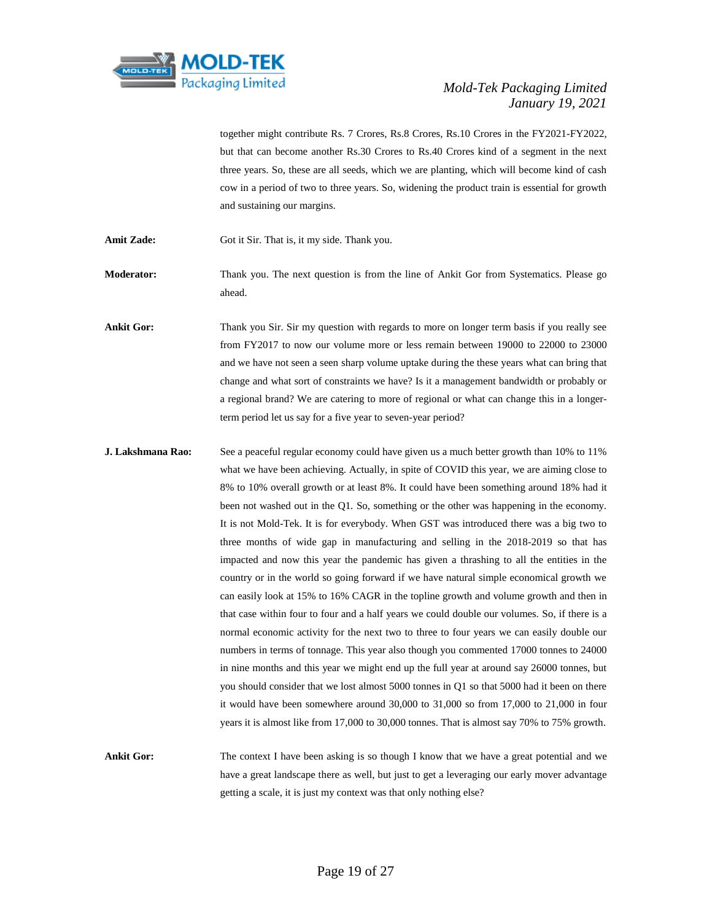

together might contribute Rs. 7 Crores, Rs.8 Crores, Rs.10 Crores in the FY2021-FY2022, but that can become another Rs.30 Crores to Rs.40 Crores kind of a segment in the next three years. So, these are all seeds, which we are planting, which will become kind of cash cow in a period of two to three years. So, widening the product train is essential for growth and sustaining our margins.

Amit Zade: Got it Sir. That is, it my side. Thank you.

**Moderator:** Thank you. The next question is from the line of Ankit Gor from Systematics. Please go ahead.

**Ankit Gor:** Thank you Sir. Sir my question with regards to more on longer term basis if you really see from FY2017 to now our volume more or less remain between 19000 to 22000 to 23000 and we have not seen a seen sharp volume uptake during the these years what can bring that change and what sort of constraints we have? Is it a management bandwidth or probably or a regional brand? We are catering to more of regional or what can change this in a longerterm period let us say for a five year to seven-year period?

**J. Lakshmana Rao:** See a peaceful regular economy could have given us a much better growth than 10% to 11% what we have been achieving. Actually, in spite of COVID this year, we are aiming close to 8% to 10% overall growth or at least 8%. It could have been something around 18% had it been not washed out in the Q1. So, something or the other was happening in the economy. It is not Mold-Tek. It is for everybody. When GST was introduced there was a big two to three months of wide gap in manufacturing and selling in the 2018-2019 so that has impacted and now this year the pandemic has given a thrashing to all the entities in the country or in the world so going forward if we have natural simple economical growth we can easily look at 15% to 16% CAGR in the topline growth and volume growth and then in that case within four to four and a half years we could double our volumes. So, if there is a normal economic activity for the next two to three to four years we can easily double our numbers in terms of tonnage. This year also though you commented 17000 tonnes to 24000 in nine months and this year we might end up the full year at around say 26000 tonnes, but you should consider that we lost almost 5000 tonnes in Q1 so that 5000 had it been on there it would have been somewhere around 30,000 to 31,000 so from 17,000 to 21,000 in four years it is almost like from 17,000 to 30,000 tonnes. That is almost say 70% to 75% growth.

**Ankit Gor:** The context I have been asking is so though I know that we have a great potential and we have a great landscape there as well, but just to get a leveraging our early mover advantage getting a scale, it is just my context was that only nothing else?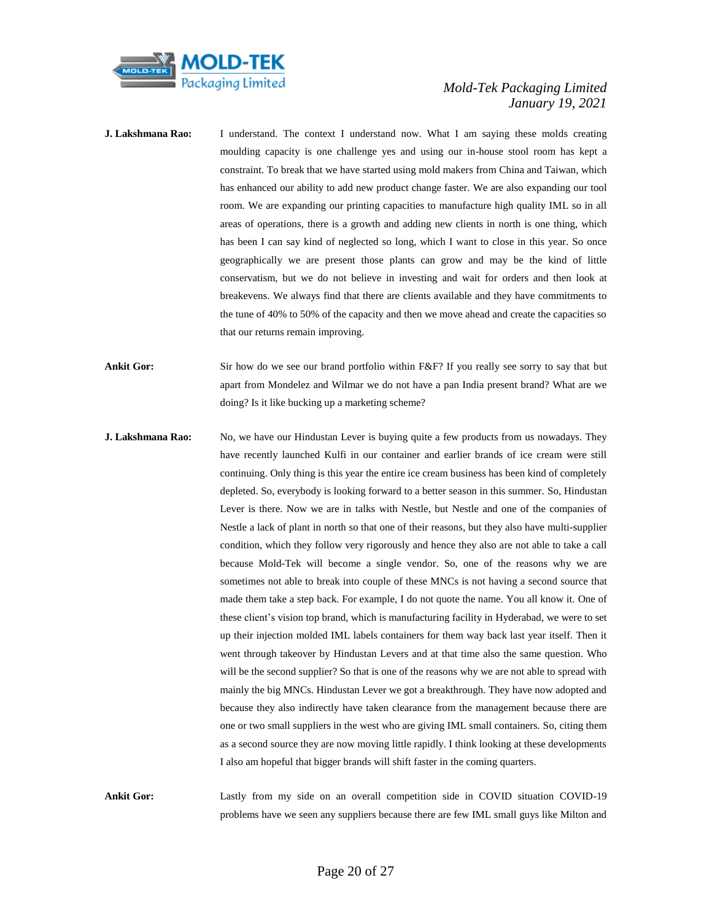

- **J. Lakshmana Rao:** I understand. The context I understand now. What I am saying these molds creating moulding capacity is one challenge yes and using our in-house stool room has kept a constraint. To break that we have started using mold makers from China and Taiwan, which has enhanced our ability to add new product change faster. We are also expanding our tool room. We are expanding our printing capacities to manufacture high quality IML so in all areas of operations, there is a growth and adding new clients in north is one thing, which has been I can say kind of neglected so long, which I want to close in this year. So once geographically we are present those plants can grow and may be the kind of little conservatism, but we do not believe in investing and wait for orders and then look at breakevens. We always find that there are clients available and they have commitments to the tune of 40% to 50% of the capacity and then we move ahead and create the capacities so that our returns remain improving.
- **Ankit Gor:** Sir how do we see our brand portfolio within F&F? If you really see sorry to say that but apart from Mondelez and Wilmar we do not have a pan India present brand? What are we doing? Is it like bucking up a marketing scheme?
- **J. Lakshmana Rao:** No, we have our Hindustan Lever is buying quite a few products from us nowadays. They have recently launched Kulfi in our container and earlier brands of ice cream were still continuing. Only thing is this year the entire ice cream business has been kind of completely depleted. So, everybody is looking forward to a better season in this summer. So, Hindustan Lever is there. Now we are in talks with Nestle, but Nestle and one of the companies of Nestle a lack of plant in north so that one of their reasons, but they also have multi-supplier condition, which they follow very rigorously and hence they also are not able to take a call because Mold-Tek will become a single vendor. So, one of the reasons why we are sometimes not able to break into couple of these MNCs is not having a second source that made them take a step back. For example, I do not quote the name. You all know it. One of these client's vision top brand, which is manufacturing facility in Hyderabad, we were to set up their injection molded IML labels containers for them way back last year itself. Then it went through takeover by Hindustan Levers and at that time also the same question. Who will be the second supplier? So that is one of the reasons why we are not able to spread with mainly the big MNCs. Hindustan Lever we got a breakthrough. They have now adopted and because they also indirectly have taken clearance from the management because there are one or two small suppliers in the west who are giving IML small containers. So, citing them as a second source they are now moving little rapidly. I think looking at these developments I also am hopeful that bigger brands will shift faster in the coming quarters.

**Ankit Gor:** Lastly from my side on an overall competition side in COVID situation COVID-19 problems have we seen any suppliers because there are few IML small guys like Milton and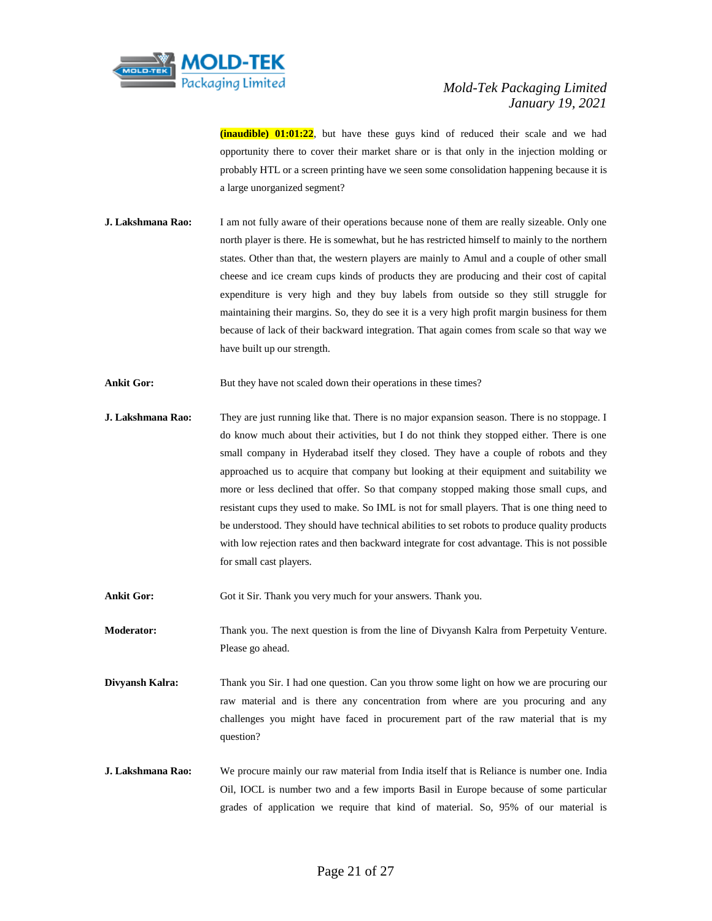

**(inaudible) 01:01:22**, but have these guys kind of reduced their scale and we had opportunity there to cover their market share or is that only in the injection molding or probably HTL or a screen printing have we seen some consolidation happening because it is a large unorganized segment?

- **J. Lakshmana Rao:** I am not fully aware of their operations because none of them are really sizeable. Only one north player is there. He is somewhat, but he has restricted himself to mainly to the northern states. Other than that, the western players are mainly to Amul and a couple of other small cheese and ice cream cups kinds of products they are producing and their cost of capital expenditure is very high and they buy labels from outside so they still struggle for maintaining their margins. So, they do see it is a very high profit margin business for them because of lack of their backward integration. That again comes from scale so that way we have built up our strength.
- Ankit Gor: But they have not scaled down their operations in these times?

**J. Lakshmana Rao:** They are just running like that. There is no major expansion season. There is no stoppage. I do know much about their activities, but I do not think they stopped either. There is one small company in Hyderabad itself they closed. They have a couple of robots and they approached us to acquire that company but looking at their equipment and suitability we more or less declined that offer. So that company stopped making those small cups, and resistant cups they used to make. So IML is not for small players. That is one thing need to be understood. They should have technical abilities to set robots to produce quality products with low rejection rates and then backward integrate for cost advantage. This is not possible for small cast players.

Ankit Gor: Got it Sir. Thank you very much for your answers. Thank you.

**Moderator:** Thank you. The next question is from the line of Divyansh Kalra from Perpetuity Venture. Please go ahead.

- **Divyansh Kalra:** Thank you Sir. I had one question. Can you throw some light on how we are procuring our raw material and is there any concentration from where are you procuring and any challenges you might have faced in procurement part of the raw material that is my question?
- **J. Lakshmana Rao:** We procure mainly our raw material from India itself that is Reliance is number one. India Oil, IOCL is number two and a few imports Basil in Europe because of some particular grades of application we require that kind of material. So, 95% of our material is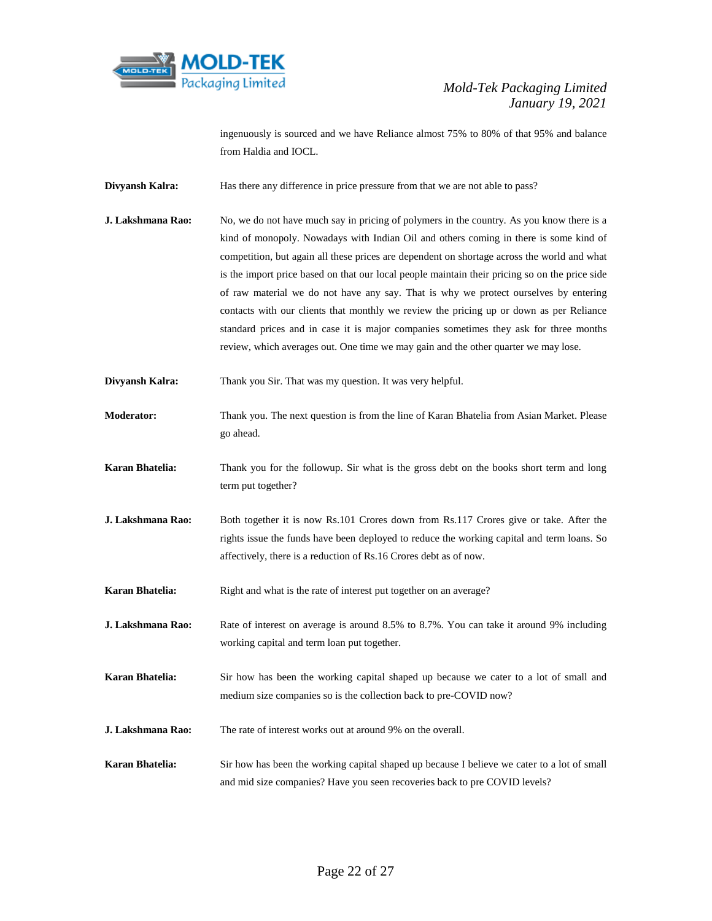

ingenuously is sourced and we have Reliance almost 75% to 80% of that 95% and balance from Haldia and IOCL.

- **Divyansh Kalra:** Has there any difference in price pressure from that we are not able to pass?
- **J. Lakshmana Rao:** No, we do not have much say in pricing of polymers in the country. As you know there is a kind of monopoly. Nowadays with Indian Oil and others coming in there is some kind of competition, but again all these prices are dependent on shortage across the world and what is the import price based on that our local people maintain their pricing so on the price side of raw material we do not have any say. That is why we protect ourselves by entering contacts with our clients that monthly we review the pricing up or down as per Reliance standard prices and in case it is major companies sometimes they ask for three months review, which averages out. One time we may gain and the other quarter we may lose.
- **Divyansh Kalra:** Thank you Sir. That was my question. It was very helpful.
- **Moderator:** Thank you. The next question is from the line of Karan Bhatelia from Asian Market. Please go ahead.
- **Karan Bhatelia:** Thank you for the followup. Sir what is the gross debt on the books short term and long term put together?
- **J. Lakshmana Rao:** Both together it is now Rs.101 Crores down from Rs.117 Crores give or take. After the rights issue the funds have been deployed to reduce the working capital and term loans. So affectively, there is a reduction of Rs.16 Crores debt as of now.
- **Karan Bhatelia:** Right and what is the rate of interest put together on an average?
- **J. Lakshmana Rao:** Rate of interest on average is around 8.5% to 8.7%. You can take it around 9% including working capital and term loan put together.
- **Karan Bhatelia:** Sir how has been the working capital shaped up because we cater to a lot of small and medium size companies so is the collection back to pre-COVID now?
- **J. Lakshmana Rao:** The rate of interest works out at around 9% on the overall.
- **Karan Bhatelia:** Sir how has been the working capital shaped up because I believe we cater to a lot of small and mid size companies? Have you seen recoveries back to pre COVID levels?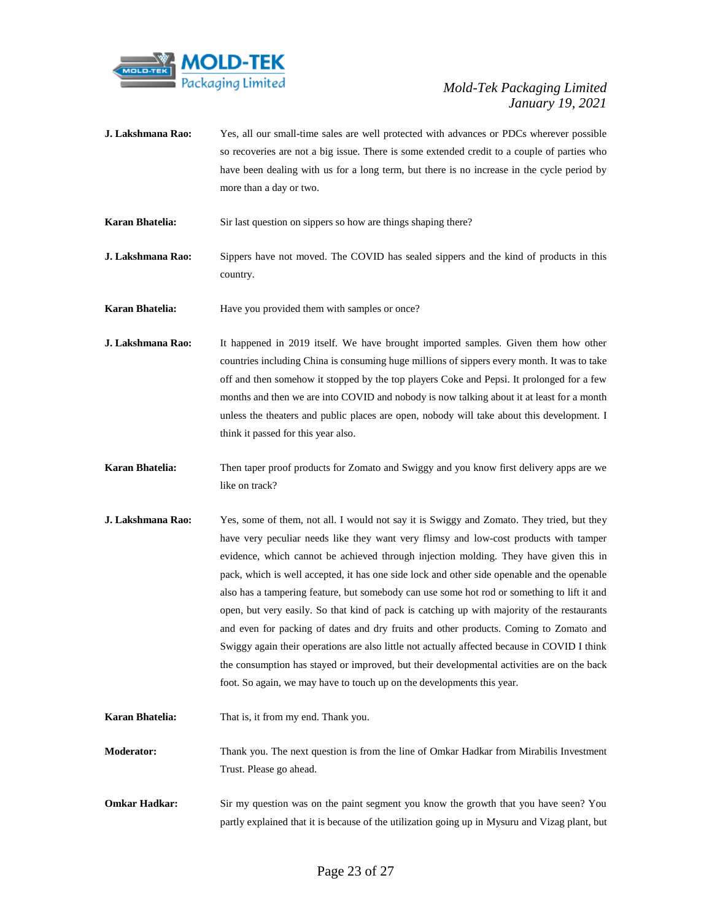

- **J. Lakshmana Rao:** Yes, all our small-time sales are well protected with advances or PDCs wherever possible so recoveries are not a big issue. There is some extended credit to a couple of parties who have been dealing with us for a long term, but there is no increase in the cycle period by more than a day or two.
- **Karan Bhatelia:** Sir last question on sippers so how are things shaping there?
- **J. Lakshmana Rao:** Sippers have not moved. The COVID has sealed sippers and the kind of products in this country.
- **Karan Bhatelia:** Have you provided them with samples or once?
- **J. Lakshmana Rao:** It happened in 2019 itself. We have brought imported samples. Given them how other countries including China is consuming huge millions of sippers every month. It was to take off and then somehow it stopped by the top players Coke and Pepsi. It prolonged for a few months and then we are into COVID and nobody is now talking about it at least for a month unless the theaters and public places are open, nobody will take about this development. I think it passed for this year also.
- **Karan Bhatelia:** Then taper proof products for Zomato and Swiggy and you know first delivery apps are we like on track?
- **J. Lakshmana Rao:** Yes, some of them, not all. I would not say it is Swiggy and Zomato. They tried, but they have very peculiar needs like they want very flimsy and low-cost products with tamper evidence, which cannot be achieved through injection molding. They have given this in pack, which is well accepted, it has one side lock and other side openable and the openable also has a tampering feature, but somebody can use some hot rod or something to lift it and open, but very easily. So that kind of pack is catching up with majority of the restaurants and even for packing of dates and dry fruits and other products. Coming to Zomato and Swiggy again their operations are also little not actually affected because in COVID I think the consumption has stayed or improved, but their developmental activities are on the back foot. So again, we may have to touch up on the developments this year.
- **Karan Bhatelia:** That is, it from my end. Thank you.
- **Moderator:** Thank you. The next question is from the line of Omkar Hadkar from Mirabilis Investment Trust. Please go ahead.
- **Omkar Hadkar:** Sir my question was on the paint segment you know the growth that you have seen? You partly explained that it is because of the utilization going up in Mysuru and Vizag plant, but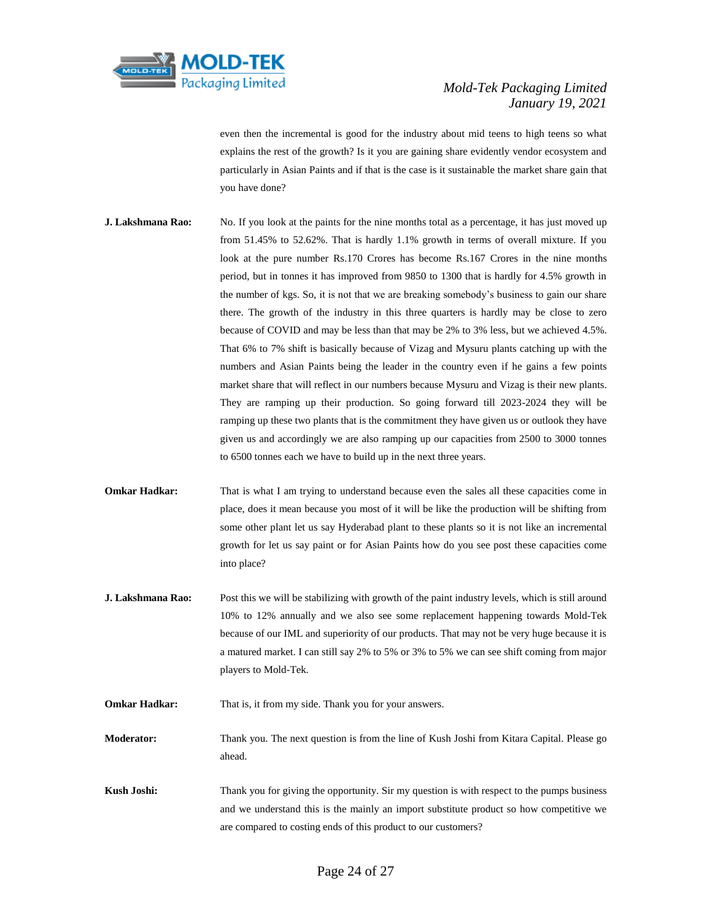

even then the incremental is good for the industry about mid teens to high teens so what explains the rest of the growth? Is it you are gaining share evidently vendor ecosystem and particularly in Asian Paints and if that is the case is it sustainable the market share gain that you have done?

- **J. Lakshmana Rao:** No. If you look at the paints for the nine months total as a percentage, it has just moved up from 51.45% to 52.62%. That is hardly 1.1% growth in terms of overall mixture. If you look at the pure number Rs.170 Crores has become Rs.167 Crores in the nine months period, but in tonnes it has improved from 9850 to 1300 that is hardly for 4.5% growth in the number of kgs. So, it is not that we are breaking somebody's business to gain our share there. The growth of the industry in this three quarters is hardly may be close to zero because of COVID and may be less than that may be 2% to 3% less, but we achieved 4.5%. That 6% to 7% shift is basically because of Vizag and Mysuru plants catching up with the numbers and Asian Paints being the leader in the country even if he gains a few points market share that will reflect in our numbers because Mysuru and Vizag is their new plants. They are ramping up their production. So going forward till 2023-2024 they will be ramping up these two plants that is the commitment they have given us or outlook they have given us and accordingly we are also ramping up our capacities from 2500 to 3000 tonnes to 6500 tonnes each we have to build up in the next three years.
- **Omkar Hadkar:** That is what I am trying to understand because even the sales all these capacities come in place, does it mean because you most of it will be like the production will be shifting from some other plant let us say Hyderabad plant to these plants so it is not like an incremental growth for let us say paint or for Asian Paints how do you see post these capacities come into place?
- **J. Lakshmana Rao:** Post this we will be stabilizing with growth of the paint industry levels, which is still around 10% to 12% annually and we also see some replacement happening towards Mold-Tek because of our IML and superiority of our products. That may not be very huge because it is a matured market. I can still say 2% to 5% or 3% to 5% we can see shift coming from major players to Mold-Tek.

**Omkar Hadkar:** That is, it from my side. Thank you for your answers.

**Moderator:** Thank you. The next question is from the line of Kush Joshi from Kitara Capital. Please go ahead.

**Kush Joshi:** Thank you for giving the opportunity. Sir my question is with respect to the pumps business and we understand this is the mainly an import substitute product so how competitive we are compared to costing ends of this product to our customers?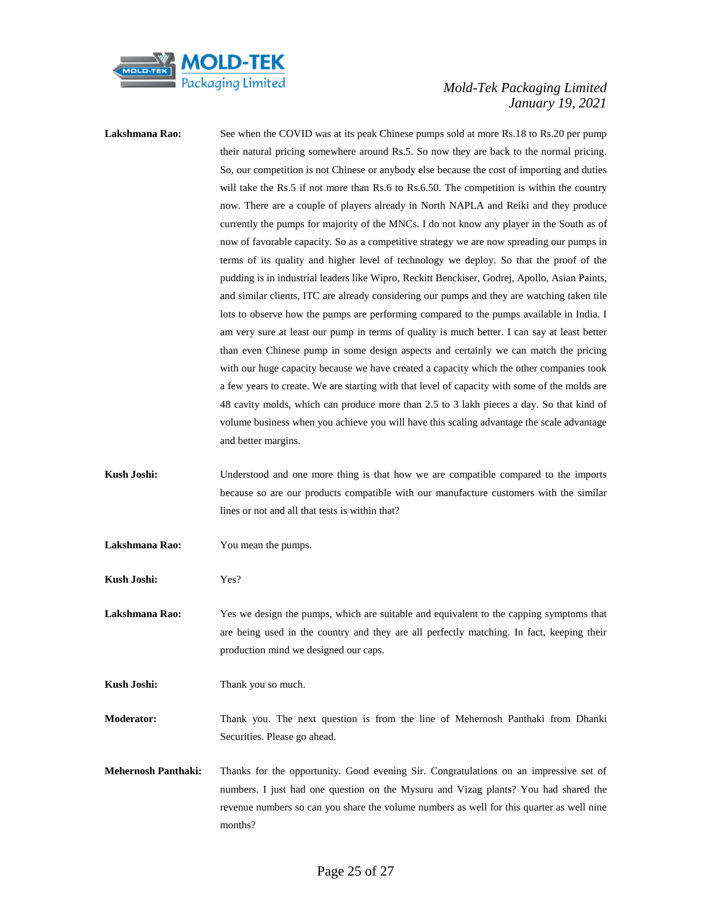

Lakshmana Rao: See when the COVID was at its peak Chinese pumps sold at more Rs.18 to Rs.20 per pump their natural pricing somewhere around Rs.5. So now they are back to the normal pricing. So, our competition is not Chinese or anybody else because the cost of importing and duties will take the Rs.5 if not more than Rs.6 to Rs.6.50. The competition is within the country now. There are a couple of players already in North NAPLA and Reiki and they produce currently the pumps for majority of the MNCs. I do not know any player in the South as of now of favorable capacity. So as a competitive strategy we are now spreading our pumps in terms of its quality and higher level of technology we deploy. So that the proof of the pudding is in industrial leaders like Wipro, Reckitt Benckiser, Godrej, Apollo, Asian Paints, and similar clients, ITC are already considering our pumps and they are watching taken tile lots to observe how the pumps are performing compared to the pumps available in India. I am very sure at least our pump in terms of quality is much better. I can say at least better than even Chinese pump in some design aspects and certainly we can match the pricing with our huge capacity because we have created a capacity which the other companies took a few years to create. We are starting with that level of capacity with some of the molds are 48 cavity molds, which can produce more than 2.5 to 3 lakh pieces a day. So that kind of volume business when you achieve you will have this scaling advantage the scale advantage and better margins. **Kush Joshi:** Understood and one more thing is that how we are compatible compared to the imports because so are our products compatible with our manufacture customers with the similar lines or not and all that tests is within that?

**Lakshmana Rao:** You mean the pumps.

**Kush Joshi:** Yes?

Lakshmana Rao: Yes we design the pumps, which are suitable and equivalent to the capping symptoms that are being used in the country and they are all perfectly matching. In fact, keeping their production mind we designed our caps.

**Kush Joshi:** Thank you so much.

**Moderator:** Thank you. The next question is from the line of Mehernosh Panthaki from Dhanki Securities. Please go ahead.

**Mehernosh Panthaki:** Thanks for the opportunity. Good evening Sir. Congratulations on an impressive set of numbers. I just had one question on the Mysuru and Vizag plants? You had shared the revenue numbers so can you share the volume numbers as well for this quarter as well nine months?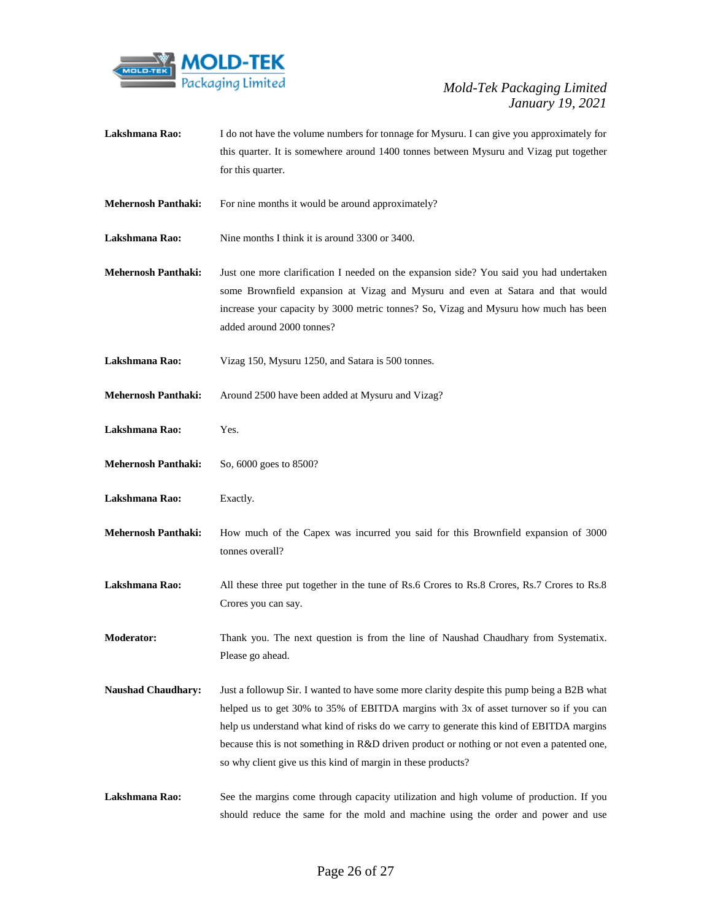

this quarter. It is somewhere around 1400 tonnes between Mysuru and Vizag put together for this quarter. **Mehernosh Panthaki:** For nine months it would be around approximately? **Lakshmana Rao:** Nine months I think it is around 3300 or 3400. **Mehernosh Panthaki:** Just one more clarification I needed on the expansion side? You said you had undertaken some Brownfield expansion at Vizag and Mysuru and even at Satara and that would increase your capacity by 3000 metric tonnes? So, Vizag and Mysuru how much has been added around 2000 tonnes? **Lakshmana Rao:** Vizag 150, Mysuru 1250, and Satara is 500 tonnes. **Mehernosh Panthaki:** Around 2500 have been added at Mysuru and Vizag? **Lakshmana Rao:** Yes. **Mehernosh Panthaki:** So, 6000 goes to 8500? **Lakshmana Rao:** Exactly. **Mehernosh Panthaki:** How much of the Capex was incurred you said for this Brownfield expansion of 3000 tonnes overall? Lakshmana Rao: All these three put together in the tune of Rs.6 Crores to Rs.8 Crores, Rs.7 Crores to Rs.8 Crores you can say. **Moderator:** Thank you. The next question is from the line of Naushad Chaudhary from Systematix. Please go ahead. **Naushad Chaudhary:** Just a followup Sir. I wanted to have some more clarity despite this pump being a B2B what helped us to get 30% to 35% of EBITDA margins with 3x of asset turnover so if you can help us understand what kind of risks do we carry to generate this kind of EBITDA margins

Lakshmana Rao: I do not have the volume numbers for tonnage for Mysuru. I can give you approximately for

Lakshmana Rao: See the margins come through capacity utilization and high volume of production. If you should reduce the same for the mold and machine using the order and power and use

so why client give us this kind of margin in these products?

because this is not something in R&D driven product or nothing or not even a patented one,